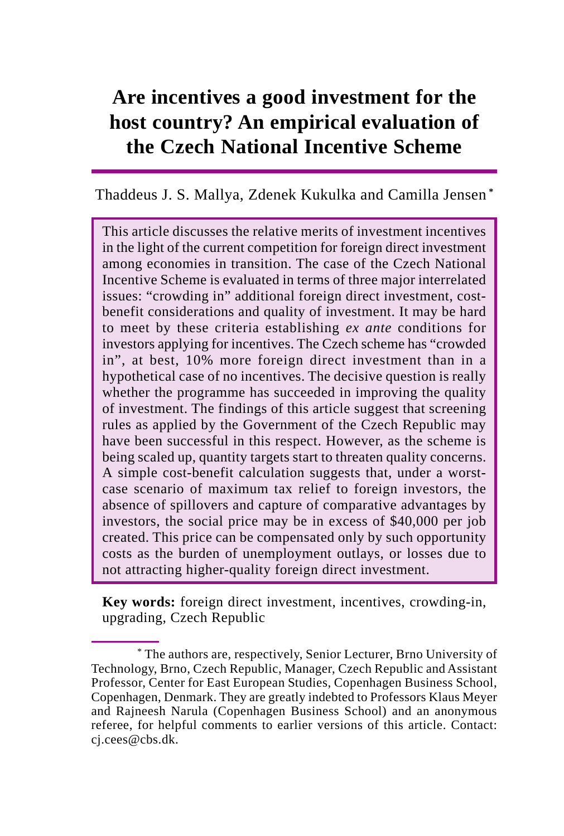# **Are incentives a good investment for the host country? An empirical evaluation of the Czech National Incentive Scheme**

Thaddeus J. S. Mallya, Zdenek Kukulka and Camilla Jensen **\***

This article discusses the relative merits of investment incentives in the light of the current competition for foreign direct investment among economies in transition. The case of the Czech National Incentive Scheme is evaluated in terms of three major interrelated issues: "crowding in" additional foreign direct investment, costbenefit considerations and quality of investment. It may be hard to meet by these criteria establishing *ex ante* conditions for investors applying for incentives. The Czech scheme has "crowded in", at best, 10% more foreign direct investment than in a hypothetical case of no incentives. The decisive question is really whether the programme has succeeded in improving the quality of investment. The findings of this article suggest that screening rules as applied by the Government of the Czech Republic may have been successful in this respect. However, as the scheme is being scaled up, quantity targets start to threaten quality concerns. A simple cost-benefit calculation suggests that, under a worstcase scenario of maximum tax relief to foreign investors, the absence of spillovers and capture of comparative advantages by investors, the social price may be in excess of \$40,000 per job created. This price can be compensated only by such opportunity costs as the burden of unemployment outlays, or losses due to not attracting higher-quality foreign direct investment.

**Key words:** foreign direct investment, incentives, crowding-in, upgrading, Czech Republic

<sup>\*</sup> The authors are, respectively, Senior Lecturer, Brno University of Technology, Brno, Czech Republic, Manager, Czech Republic and Assistant Professor, Center for East European Studies, Copenhagen Business School, Copenhagen, Denmark. They are greatly indebted to Professors Klaus Meyer and Rajneesh Narula (Copenhagen Business School) and an anonymous referee, for helpful comments to earlier versions of this article. Contact: cj.cees@cbs.dk.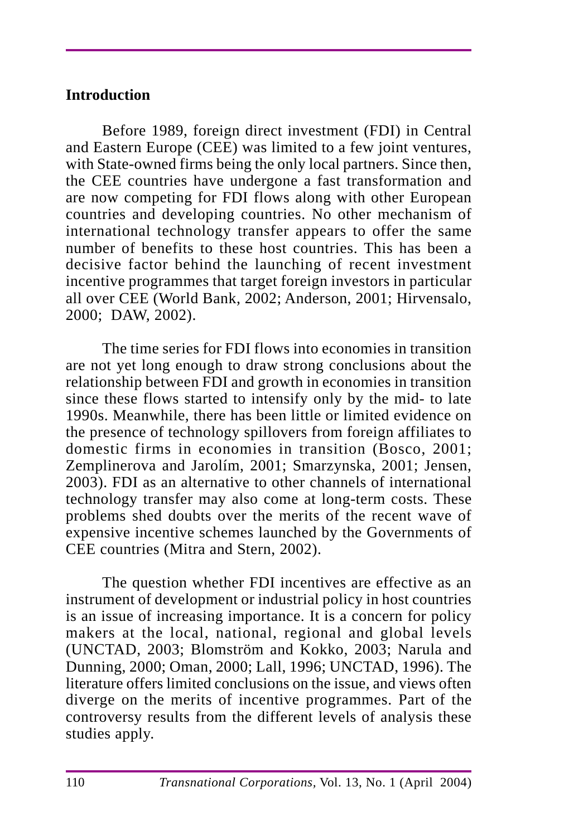# **Introduction**

Before 1989, foreign direct investment (FDI) in Central and Eastern Europe (CEE) was limited to a few joint ventures, with State-owned firms being the only local partners. Since then, the CEE countries have undergone a fast transformation and are now competing for FDI flows along with other European countries and developing countries. No other mechanism of international technology transfer appears to offer the same number of benefits to these host countries. This has been a decisive factor behind the launching of recent investment incentive programmes that target foreign investors in particular all over CEE (World Bank, 2002; Anderson, 2001; Hirvensalo, 2000; DAW, 2002).

The time series for FDI flows into economies in transition are not yet long enough to draw strong conclusions about the relationship between FDI and growth in economies in transition since these flows started to intensify only by the mid- to late 1990s. Meanwhile, there has been little or limited evidence on the presence of technology spillovers from foreign affiliates to domestic firms in economies in transition (Bosco, 2001; Zemplinerova and Jarolím, 2001; Smarzynska, 2001; Jensen, 2003). FDI as an alternative to other channels of international technology transfer may also come at long-term costs. These problems shed doubts over the merits of the recent wave of expensive incentive schemes launched by the Governments of CEE countries (Mitra and Stern, 2002).

The question whether FDI incentives are effective as an instrument of development or industrial policy in host countries is an issue of increasing importance. It is a concern for policy makers at the local, national, regional and global levels (UNCTAD, 2003; Blomström and Kokko, 2003; Narula and Dunning, 2000; Oman, 2000; Lall, 1996; UNCTAD, 1996). The literature offers limited conclusions on the issue, and views often diverge on the merits of incentive programmes. Part of the controversy results from the different levels of analysis these studies apply.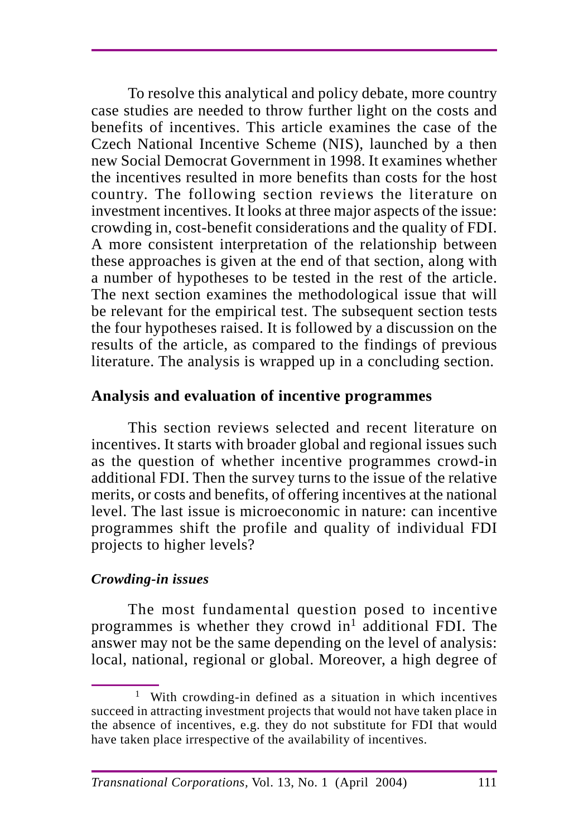To resolve this analytical and policy debate, more country case studies are needed to throw further light on the costs and benefits of incentives. This article examines the case of the Czech National Incentive Scheme (NIS), launched by a then new Social Democrat Government in 1998. It examines whether the incentives resulted in more benefits than costs for the host country. The following section reviews the literature on investment incentives. It looks at three major aspects of the issue: crowding in, cost-benefit considerations and the quality of FDI. A more consistent interpretation of the relationship between these approaches is given at the end of that section, along with a number of hypotheses to be tested in the rest of the article. The next section examines the methodological issue that will be relevant for the empirical test. The subsequent section tests the four hypotheses raised. It is followed by a discussion on the results of the article, as compared to the findings of previous literature. The analysis is wrapped up in a concluding section.

## **Analysis and evaluation of incentive programmes**

This section reviews selected and recent literature on incentives. It starts with broader global and regional issues such as the question of whether incentive programmes crowd-in additional FDI. Then the survey turns to the issue of the relative merits, or costs and benefits, of offering incentives at the national level. The last issue is microeconomic in nature: can incentive programmes shift the profile and quality of individual FDI projects to higher levels?

### *Crowding-in issues*

The most fundamental question posed to incentive programmes is whether they crowd in<sup>1</sup> additional FDI. The answer may not be the same depending on the level of analysis: local, national, regional or global. Moreover, a high degree of

<sup>1</sup> With crowding-in defined as a situation in which incentives succeed in attracting investment projects that would not have taken place in the absence of incentives, e.g. they do not substitute for FDI that would have taken place irrespective of the availability of incentives.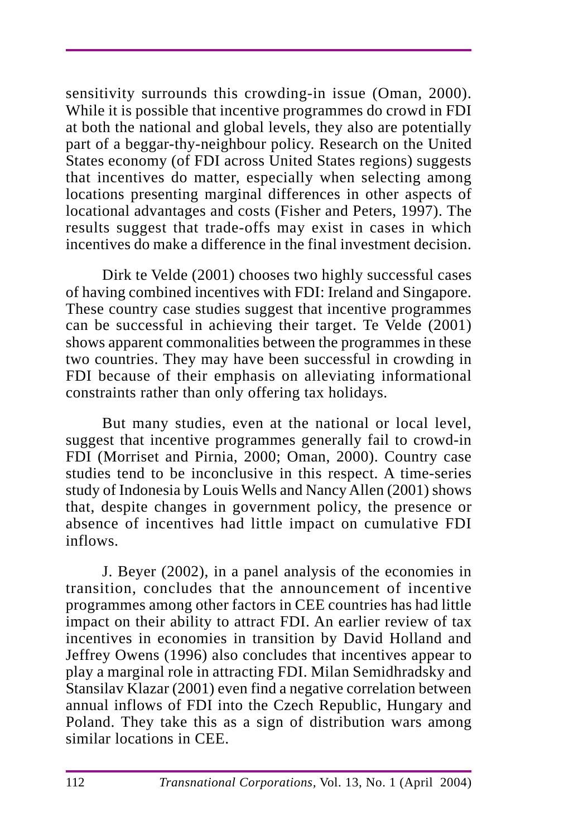sensitivity surrounds this crowding-in issue (Oman, 2000). While it is possible that incentive programmes do crowd in FDI at both the national and global levels, they also are potentially part of a beggar-thy-neighbour policy. Research on the United States economy (of FDI across United States regions) suggests that incentives do matter, especially when selecting among locations presenting marginal differences in other aspects of locational advantages and costs (Fisher and Peters, 1997). The results suggest that trade-offs may exist in cases in which incentives do make a difference in the final investment decision.

Dirk te Velde (2001) chooses two highly successful cases of having combined incentives with FDI: Ireland and Singapore. These country case studies suggest that incentive programmes can be successful in achieving their target. Te Velde (2001) shows apparent commonalities between the programmes in these two countries. They may have been successful in crowding in FDI because of their emphasis on alleviating informational constraints rather than only offering tax holidays.

But many studies, even at the national or local level, suggest that incentive programmes generally fail to crowd-in FDI (Morriset and Pirnia, 2000; Oman, 2000). Country case studies tend to be inconclusive in this respect. A time-series study of Indonesia by Louis Wells and Nancy Allen (2001) shows that, despite changes in government policy, the presence or absence of incentives had little impact on cumulative FDI inflows.

J. Beyer (2002), in a panel analysis of the economies in transition, concludes that the announcement of incentive programmes among other factors in CEE countries has had little impact on their ability to attract FDI. An earlier review of tax incentives in economies in transition by David Holland and Jeffrey Owens (1996) also concludes that incentives appear to play a marginal role in attracting FDI. Milan Semidhradsky and Stansilav Klazar (2001) even find a negative correlation between annual inflows of FDI into the Czech Republic, Hungary and Poland. They take this as a sign of distribution wars among similar locations in CEE.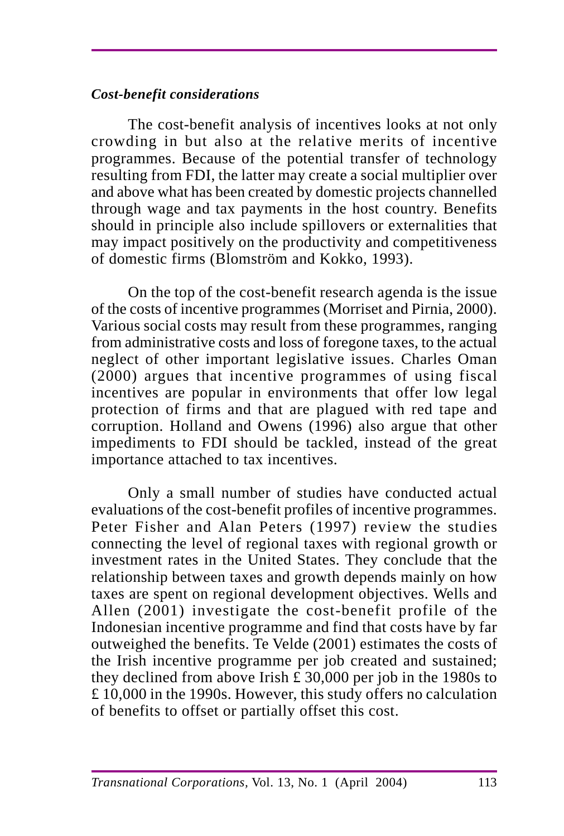## *Cost-benefit considerations*

The cost-benefit analysis of incentives looks at not only crowding in but also at the relative merits of incentive programmes. Because of the potential transfer of technology resulting from FDI, the latter may create a social multiplier over and above what has been created by domestic projects channelled through wage and tax payments in the host country. Benefits should in principle also include spillovers or externalities that may impact positively on the productivity and competitiveness of domestic firms (Blomström and Kokko, 1993).

On the top of the cost-benefit research agenda is the issue of the costs of incentive programmes (Morriset and Pirnia, 2000). Various social costs may result from these programmes, ranging from administrative costs and loss of foregone taxes, to the actual neglect of other important legislative issues. Charles Oman (2000) argues that incentive programmes of using fiscal incentives are popular in environments that offer low legal protection of firms and that are plagued with red tape and corruption. Holland and Owens (1996) also argue that other impediments to FDI should be tackled, instead of the great importance attached to tax incentives.

Only a small number of studies have conducted actual evaluations of the cost-benefit profiles of incentive programmes. Peter Fisher and Alan Peters (1997) review the studies connecting the level of regional taxes with regional growth or investment rates in the United States. They conclude that the relationship between taxes and growth depends mainly on how taxes are spent on regional development objectives. Wells and Allen (2001) investigate the cost-benefit profile of the Indonesian incentive programme and find that costs have by far outweighed the benefits. Te Velde (2001) estimates the costs of the Irish incentive programme per job created and sustained; they declined from above Irish  $\hat{\pm}$  30,000 per job in the 1980s to £ 10,000 in the 1990s. However, this study offers no calculation of benefits to offset or partially offset this cost.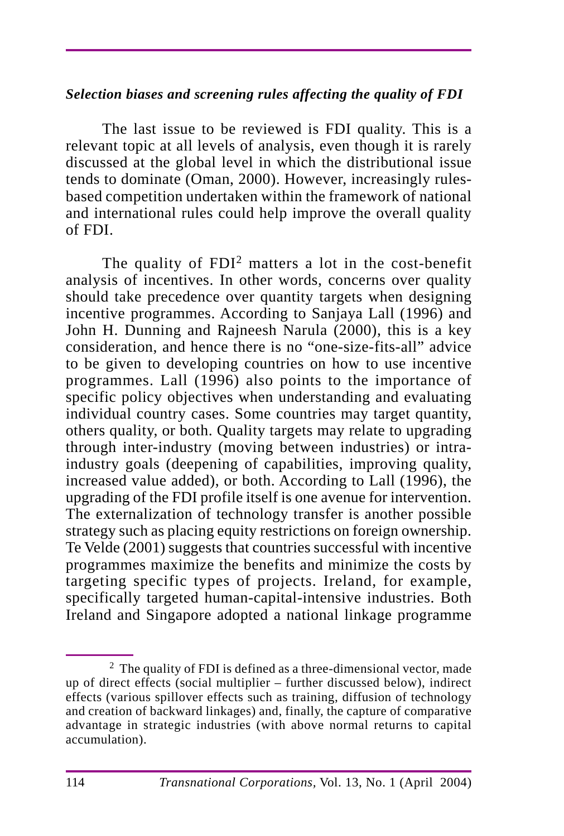#### *Selection biases and screening rules affecting the quality of FDI*

The last issue to be reviewed is FDI quality. This is a relevant topic at all levels of analysis, even though it is rarely discussed at the global level in which the distributional issue tends to dominate (Oman, 2000). However, increasingly rulesbased competition undertaken within the framework of national and international rules could help improve the overall quality of FDI.

The quality of FDI<sup>2</sup> matters a lot in the cost-benefit analysis of incentives. In other words, concerns over quality should take precedence over quantity targets when designing incentive programmes. According to Sanjaya Lall (1996) and John H. Dunning and Rajneesh Narula (2000), this is a key consideration, and hence there is no "one-size-fits-all" advice to be given to developing countries on how to use incentive programmes. Lall (1996) also points to the importance of specific policy objectives when understanding and evaluating individual country cases. Some countries may target quantity, others quality, or both. Quality targets may relate to upgrading through inter-industry (moving between industries) or intraindustry goals (deepening of capabilities, improving quality, increased value added), or both. According to Lall (1996), the upgrading of the FDI profile itself is one avenue for intervention. The externalization of technology transfer is another possible strategy such as placing equity restrictions on foreign ownership. Te Velde (2001) suggests that countries successful with incentive programmes maximize the benefits and minimize the costs by targeting specific types of projects. Ireland, for example, specifically targeted human-capital-intensive industries. Both Ireland and Singapore adopted a national linkage programme

<sup>2</sup> The quality of FDI is defined as a three-dimensional vector, made up of direct effects (social multiplier – further discussed below), indirect effects (various spillover effects such as training, diffusion of technology and creation of backward linkages) and, finally, the capture of comparative advantage in strategic industries (with above normal returns to capital accumulation).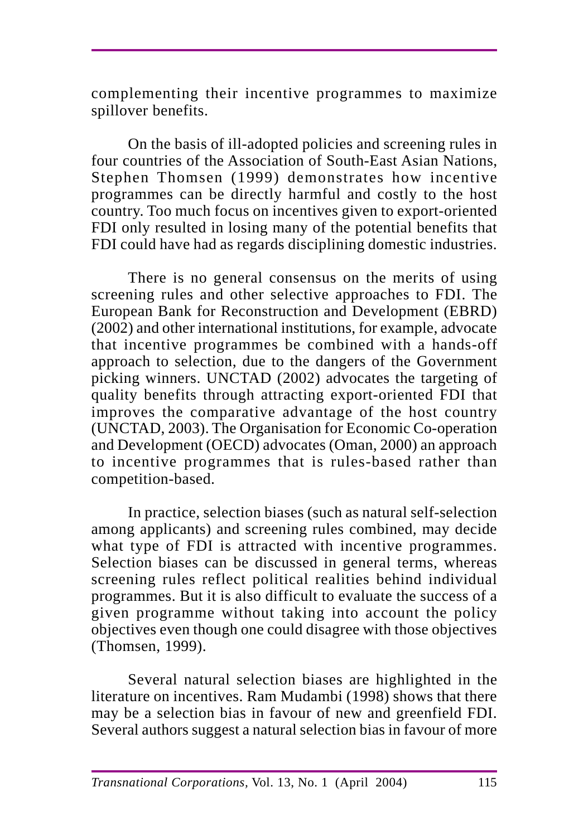complementing their incentive programmes to maximize spillover benefits.

On the basis of ill-adopted policies and screening rules in four countries of the Association of South-East Asian Nations, Stephen Thomsen (1999) demonstrates how incentive programmes can be directly harmful and costly to the host country. Too much focus on incentives given to export-oriented FDI only resulted in losing many of the potential benefits that FDI could have had as regards disciplining domestic industries.

There is no general consensus on the merits of using screening rules and other selective approaches to FDI. The European Bank for Reconstruction and Development (EBRD) (2002) and other international institutions, for example, advocate that incentive programmes be combined with a hands-off approach to selection, due to the dangers of the Government picking winners. UNCTAD (2002) advocates the targeting of quality benefits through attracting export-oriented FDI that improves the comparative advantage of the host country (UNCTAD, 2003). The Organisation for Economic Co-operation and Development (OECD) advocates (Oman, 2000) an approach to incentive programmes that is rules-based rather than competition-based.

In practice, selection biases (such as natural self-selection among applicants) and screening rules combined, may decide what type of FDI is attracted with incentive programmes. Selection biases can be discussed in general terms, whereas screening rules reflect political realities behind individual programmes. But it is also difficult to evaluate the success of a given programme without taking into account the policy objectives even though one could disagree with those objectives (Thomsen, 1999).

Several natural selection biases are highlighted in the literature on incentives. Ram Mudambi (1998) shows that there may be a selection bias in favour of new and greenfield FDI. Several authors suggest a natural selection bias in favour of more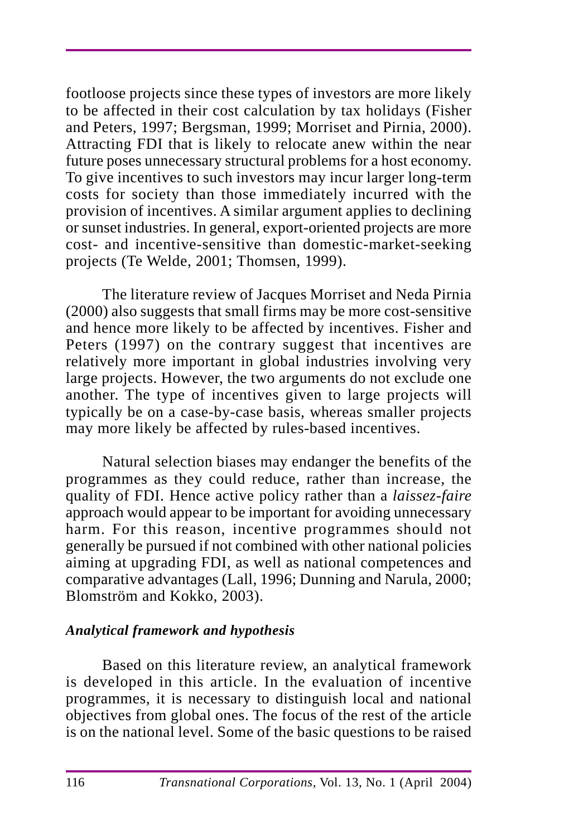footloose projects since these types of investors are more likely to be affected in their cost calculation by tax holidays (Fisher and Peters, 1997; Bergsman, 1999; Morriset and Pirnia, 2000). Attracting FDI that is likely to relocate anew within the near future poses unnecessary structural problems for a host economy. To give incentives to such investors may incur larger long-term costs for society than those immediately incurred with the provision of incentives. A similar argument applies to declining or sunset industries. In general, export-oriented projects are more cost- and incentive-sensitive than domestic-market-seeking projects (Te Welde, 2001; Thomsen, 1999).

The literature review of Jacques Morriset and Neda Pirnia (2000) also suggests that small firms may be more cost-sensitive and hence more likely to be affected by incentives. Fisher and Peters (1997) on the contrary suggest that incentives are relatively more important in global industries involving very large projects. However, the two arguments do not exclude one another. The type of incentives given to large projects will typically be on a case-by-case basis, whereas smaller projects may more likely be affected by rules-based incentives.

Natural selection biases may endanger the benefits of the programmes as they could reduce, rather than increase, the quality of FDI. Hence active policy rather than a *laissez-faire* approach would appear to be important for avoiding unnecessary harm. For this reason, incentive programmes should not generally be pursued if not combined with other national policies aiming at upgrading FDI, as well as national competences and comparative advantages (Lall, 1996; Dunning and Narula, 2000; Blomström and Kokko, 2003).

### *Analytical framework and hypothesis*

Based on this literature review, an analytical framework is developed in this article. In the evaluation of incentive programmes, it is necessary to distinguish local and national objectives from global ones. The focus of the rest of the article is on the national level. Some of the basic questions to be raised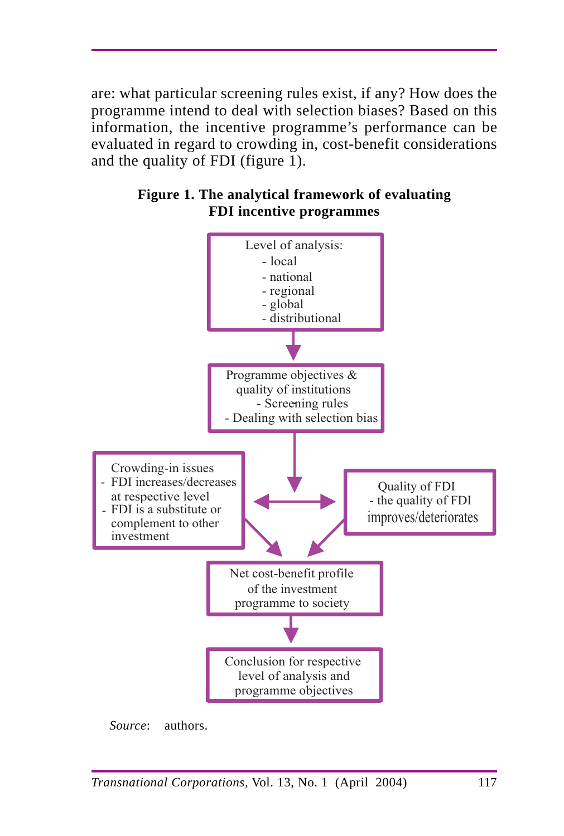are: what particular screening rules exist, if any? How does the programme intend to deal with selection biases? Based on this information, the incentive programme's performance can be evaluated in regard to crowding in, cost-benefit considerations and the quality of FDI (figure 1).





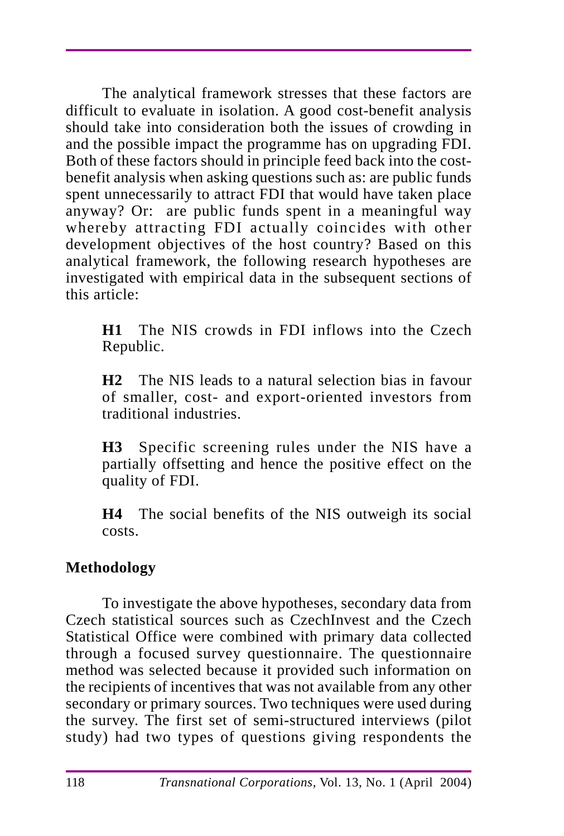The analytical framework stresses that these factors are difficult to evaluate in isolation. A good cost-benefit analysis should take into consideration both the issues of crowding in and the possible impact the programme has on upgrading FDI. Both of these factors should in principle feed back into the costbenefit analysis when asking questions such as: are public funds spent unnecessarily to attract FDI that would have taken place anyway? Or: are public funds spent in a meaningful way whereby attracting FDI actually coincides with other development objectives of the host country? Based on this analytical framework, the following research hypotheses are investigated with empirical data in the subsequent sections of this article:

**H1** The NIS crowds in FDI inflows into the Czech Republic.

**H2** The NIS leads to a natural selection bias in favour of smaller, cost- and export-oriented investors from traditional industries.

**H3** Specific screening rules under the NIS have a partially offsetting and hence the positive effect on the quality of FDI.

**H4** The social benefits of the NIS outweigh its social costs.

# **Methodology**

To investigate the above hypotheses, secondary data from Czech statistical sources such as CzechInvest and the Czech Statistical Office were combined with primary data collected through a focused survey questionnaire. The questionnaire method was selected because it provided such information on the recipients of incentives that was not available from any other secondary or primary sources. Two techniques were used during the survey. The first set of semi-structured interviews (pilot study) had two types of questions giving respondents the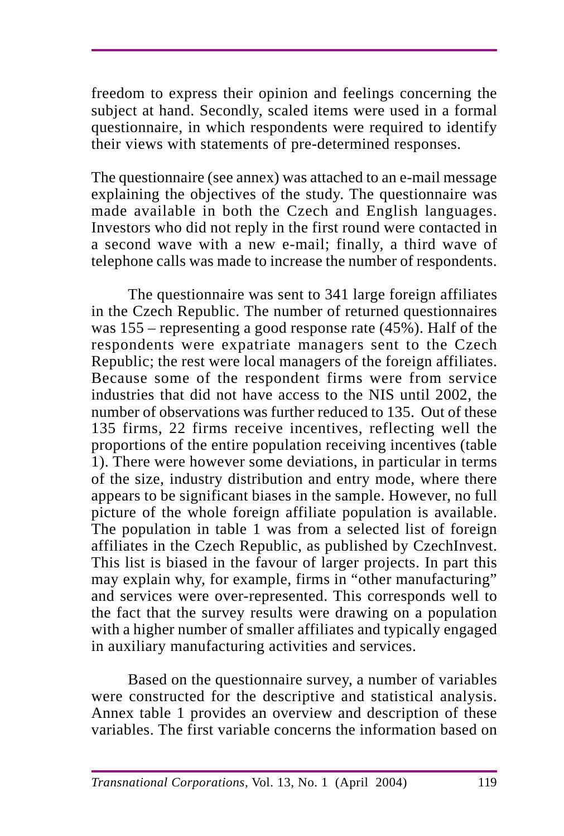freedom to express their opinion and feelings concerning the subject at hand. Secondly, scaled items were used in a formal questionnaire, in which respondents were required to identify their views with statements of pre-determined responses.

The questionnaire (see annex) was attached to an e-mail message explaining the objectives of the study. The questionnaire was made available in both the Czech and English languages. Investors who did not reply in the first round were contacted in a second wave with a new e-mail; finally, a third wave of telephone calls was made to increase the number of respondents.

The questionnaire was sent to 341 large foreign affiliates in the Czech Republic. The number of returned questionnaires was 155 – representing a good response rate (45%). Half of the respondents were expatriate managers sent to the Czech Republic; the rest were local managers of the foreign affiliates. Because some of the respondent firms were from service industries that did not have access to the NIS until 2002, the number of observations was further reduced to 135. Out of these 135 firms, 22 firms receive incentives, reflecting well the proportions of the entire population receiving incentives (table 1). There were however some deviations, in particular in terms of the size, industry distribution and entry mode, where there appears to be significant biases in the sample. However, no full picture of the whole foreign affiliate population is available. The population in table 1 was from a selected list of foreign affiliates in the Czech Republic, as published by CzechInvest. This list is biased in the favour of larger projects. In part this may explain why, for example, firms in "other manufacturing" and services were over-represented. This corresponds well to the fact that the survey results were drawing on a population with a higher number of smaller affiliates and typically engaged in auxiliary manufacturing activities and services.

Based on the questionnaire survey, a number of variables were constructed for the descriptive and statistical analysis. Annex table 1 provides an overview and description of these variables. The first variable concerns the information based on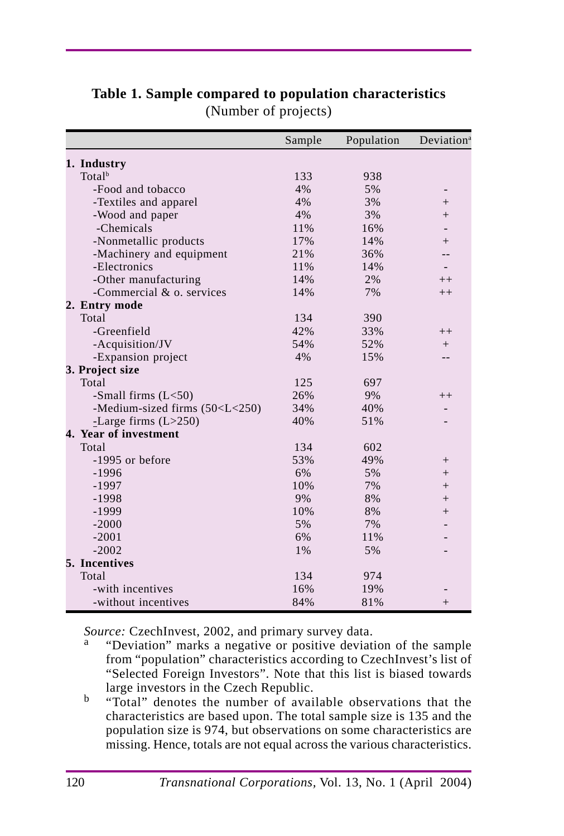|                                                                                    | Sample | Population | Deviation <sup>a</sup> |
|------------------------------------------------------------------------------------|--------|------------|------------------------|
| 1. Industry                                                                        |        |            |                        |
| Total <sup>b</sup>                                                                 | 133    | 938        |                        |
| -Food and tobacco                                                                  | 4%     | 5%         |                        |
| -Textiles and apparel                                                              | 4%     | 3%         | $^{+}$                 |
| -Wood and paper                                                                    | 4%     | 3%         | $^{+}$                 |
| -Chemicals                                                                         | 11%    | 16%        |                        |
| -Nonmetallic products                                                              | 17%    | 14%        | $^{+}$                 |
| -Machinery and equipment                                                           | 21%    | 36%        |                        |
| -Electronics                                                                       | 11%    | 14%        |                        |
| -Other manufacturing                                                               | 14%    | 2%         | $^{++}$                |
| -Commercial & o. services                                                          | 14%    | 7%         | $++$                   |
| 2. Entry mode                                                                      |        |            |                        |
| Total                                                                              | 134    | 390        |                        |
| -Greenfield                                                                        | 42%    | 33%        | $++$                   |
| -Acquisition/JV                                                                    | 54%    | 52%        | $+$                    |
| -Expansion project                                                                 | 4%     | 15%        |                        |
| 3. Project size                                                                    |        |            |                        |
| Total                                                                              | 125    | 697        |                        |
| -Small firms $(L<50)$                                                              | 26%    | 9%         | $^{++}$                |
| -Medium-sized firms (50 <l<250)< td=""><td>34%</td><td>40%</td><td></td></l<250)<> | 34%    | 40%        |                        |
| -Large firms $(L>250)$                                                             | 40%    | 51%        |                        |
| 4. Year of investment                                                              |        |            |                        |
| Total                                                                              | 134    | 602        |                        |
| -1995 or before                                                                    | 53%    | 49%        | $^{+}$                 |
| $-1996$                                                                            | 6%     | 5%         | $^{+}$                 |
| $-1997$                                                                            | 10%    | 7%         | $^{+}$                 |
| $-1998$                                                                            | 9%     | 8%         | $^{+}$                 |
| $-1999$                                                                            | 10%    | 8%         | $^{+}$                 |
| $-2000$                                                                            | 5%     | 7%         |                        |
| $-2001$                                                                            | 6%     | 11%        |                        |
| $-2002$                                                                            | 1%     | 5%         |                        |
| 5. Incentives                                                                      |        |            |                        |
| Total                                                                              | 134    | 974        |                        |
| -with incentives                                                                   | 16%    | 19%        |                        |
| -without incentives                                                                | 84%    | 81%        | $^{+}$                 |

**Table 1. Sample compared to population characteristics** (Number of projects)

- *Source:* CzechInvest, 2002, and primary survey data.<br><sup>a</sup> "Deviation" marks a negative or positive deviation of the sample from "population" characteristics according to CzechInvest's list of "Selected Foreign Investors". Note that this list is biased towards large investors in the Czech Republic.
- b "Total" denotes the number of available observations that the characteristics are based upon. The total sample size is 135 and the population size is 974, but observations on some characteristics are missing. Hence, totals are not equal across the various characteristics.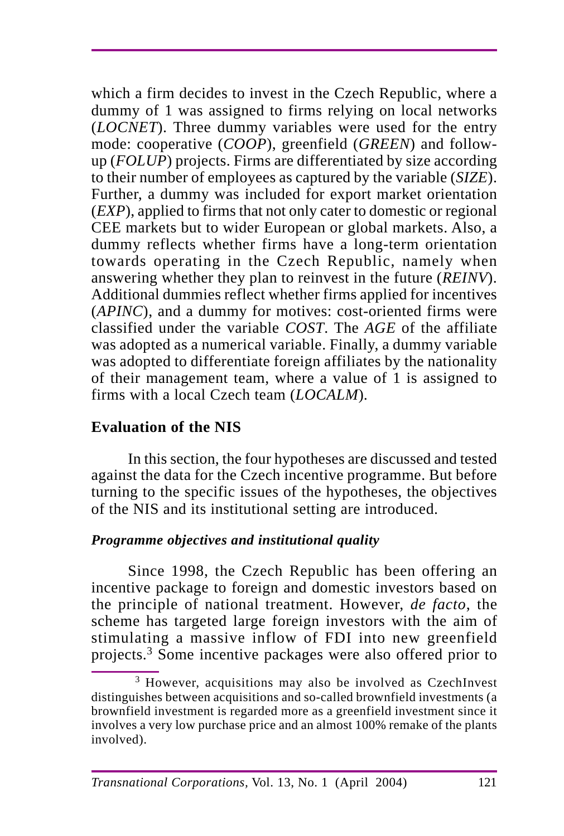which a firm decides to invest in the Czech Republic, where a dummy of 1 was assigned to firms relying on local networks (*LOCNET*). Three dummy variables were used for the entry mode: cooperative (*COOP*), greenfield (*GREEN*) and followup (*FOLUP*) projects. Firms are differentiated by size according to their number of employees as captured by the variable (*SIZE*). Further, a dummy was included for export market orientation (*EXP*), applied to firms that not only cater to domestic or regional CEE markets but to wider European or global markets. Also, a dummy reflects whether firms have a long-term orientation towards operating in the Czech Republic, namely when answering whether they plan to reinvest in the future (*REINV*). Additional dummies reflect whether firms applied for incentives (*APINC*), and a dummy for motives: cost-oriented firms were classified under the variable *COST*. The *AGE* of the affiliate was adopted as a numerical variable. Finally, a dummy variable was adopted to differentiate foreign affiliates by the nationality of their management team, where a value of 1 is assigned to firms with a local Czech team (*LOCALM*)*.*

# **Evaluation of the NIS**

In this section, the four hypotheses are discussed and tested against the data for the Czech incentive programme. But before turning to the specific issues of the hypotheses, the objectives of the NIS and its institutional setting are introduced.

# *Programme objectives and institutional quality*

Since 1998, the Czech Republic has been offering an incentive package to foreign and domestic investors based on the principle of national treatment. However, *de facto*, the scheme has targeted large foreign investors with the aim of stimulating a massive inflow of FDI into new greenfield projects.3 Some incentive packages were also offered prior to

<sup>3</sup> However, acquisitions may also be involved as CzechInvest distinguishes between acquisitions and so-called brownfield investments (a brownfield investment is regarded more as a greenfield investment since it involves a very low purchase price and an almost 100% remake of the plants involved).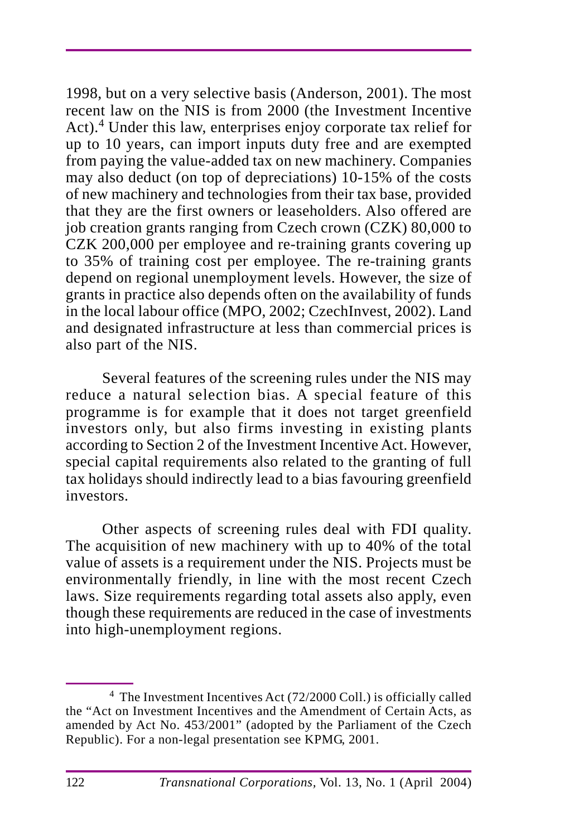1998, but on a very selective basis (Anderson, 2001). The most recent law on the NIS is from 2000 (the Investment Incentive Act).<sup>4</sup> Under this law, enterprises enjoy corporate tax relief for up to 10 years, can import inputs duty free and are exempted from paying the value-added tax on new machinery. Companies may also deduct (on top of depreciations) 10-15% of the costs of new machinery and technologies from their tax base, provided that they are the first owners or leaseholders. Also offered are job creation grants ranging from Czech crown (CZK) 80,000 to CZK 200,000 per employee and re-training grants covering up to 35% of training cost per employee. The re-training grants depend on regional unemployment levels. However, the size of grants in practice also depends often on the availability of funds in the local labour office (MPO, 2002; CzechInvest, 2002). Land and designated infrastructure at less than commercial prices is also part of the NIS.

Several features of the screening rules under the NIS may reduce a natural selection bias. A special feature of this programme is for example that it does not target greenfield investors only, but also firms investing in existing plants according to Section 2 of the Investment Incentive Act. However, special capital requirements also related to the granting of full tax holidays should indirectly lead to a bias favouring greenfield investors.

Other aspects of screening rules deal with FDI quality. The acquisition of new machinery with up to 40% of the total value of assets is a requirement under the NIS. Projects must be environmentally friendly, in line with the most recent Czech laws. Size requirements regarding total assets also apply, even though these requirements are reduced in the case of investments into high-unemployment regions.

<sup>4</sup> The Investment Incentives Act (72/2000 Coll.) is officially called the "Act on Investment Incentives and the Amendment of Certain Acts, as amended by Act No. 453/2001" (adopted by the Parliament of the Czech Republic). For a non-legal presentation see KPMG, 2001.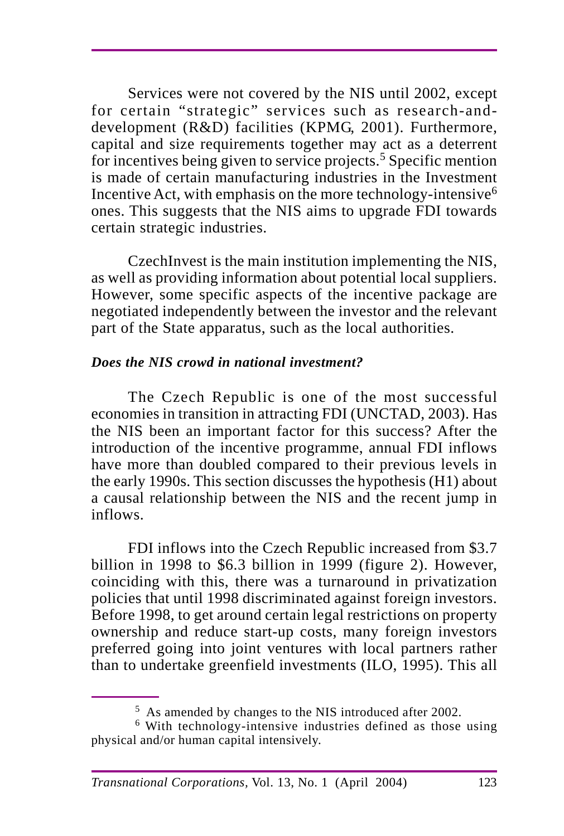Services were not covered by the NIS until 2002, except for certain "strategic" services such as research-anddevelopment (R&D) facilities (KPMG, 2001). Furthermore, capital and size requirements together may act as a deterrent for incentives being given to service projects.<sup>5</sup> Specific mention is made of certain manufacturing industries in the Investment Incentive Act, with emphasis on the more technology-intensive6 ones. This suggests that the NIS aims to upgrade FDI towards certain strategic industries.

CzechInvest is the main institution implementing the NIS, as well as providing information about potential local suppliers. However, some specific aspects of the incentive package are negotiated independently between the investor and the relevant part of the State apparatus, such as the local authorities.

### *Does the NIS crowd in national investment?*

The Czech Republic is one of the most successful economies in transition in attracting FDI (UNCTAD, 2003). Has the NIS been an important factor for this success? After the introduction of the incentive programme, annual FDI inflows have more than doubled compared to their previous levels in the early 1990s. This section discusses the hypothesis (H1) about a causal relationship between the NIS and the recent jump in inflows.

FDI inflows into the Czech Republic increased from \$3.7 billion in 1998 to \$6.3 billion in 1999 (figure 2). However, coinciding with this, there was a turnaround in privatization policies that until 1998 discriminated against foreign investors. Before 1998, to get around certain legal restrictions on property ownership and reduce start-up costs, many foreign investors preferred going into joint ventures with local partners rather than to undertake greenfield investments (ILO, 1995). This all

<sup>5</sup> As amended by changes to the NIS introduced after 2002.

<sup>6</sup> With technology-intensive industries defined as those using physical and/or human capital intensively.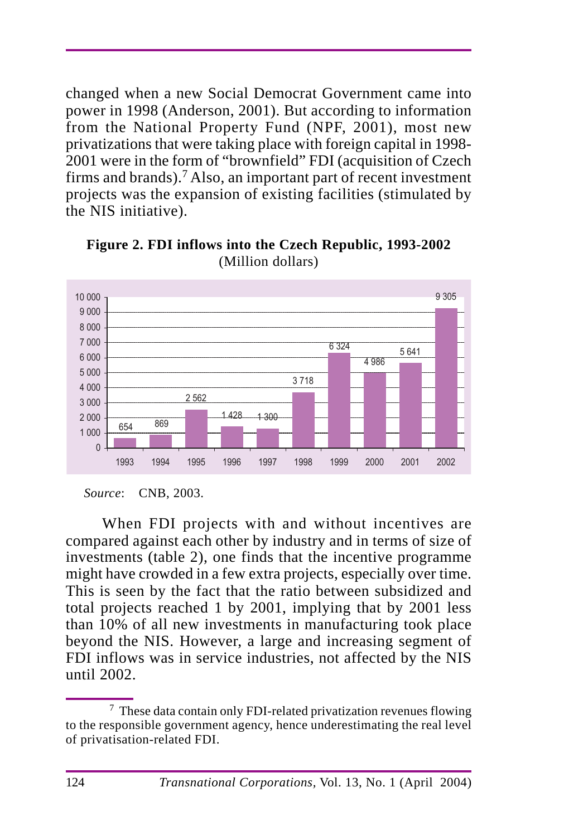changed when a new Social Democrat Government came into power in 1998 (Anderson, 2001). But according to information from the National Property Fund (NPF, 2001), most new privatizations that were taking place with foreign capital in 1998- 2001 were in the form of "brownfield" FDI (acquisition of Czech firms and brands).<sup>7</sup> Also, an important part of recent investment projects was the expansion of existing facilities (stimulated by the NIS initiative).



**Figure 2. FDI inflows into the Czech Republic, 1993-2002** (Million dollars)

When FDI projects with and without incentives are compared against each other by industry and in terms of size of investments (table 2), one finds that the incentive programme might have crowded in a few extra projects, especially over time. This is seen by the fact that the ratio between subsidized and total projects reached 1 by 2001, implying that by 2001 less than 10% of all new investments in manufacturing took place beyond the NIS. However, a large and increasing segment of FDI inflows was in service industries, not affected by the NIS until 2002.

*Source*: CNB, 2003.

<sup>7</sup> These data contain only FDI-related privatization revenues flowing to the responsible government agency, hence underestimating the real level of privatisation-related FDI.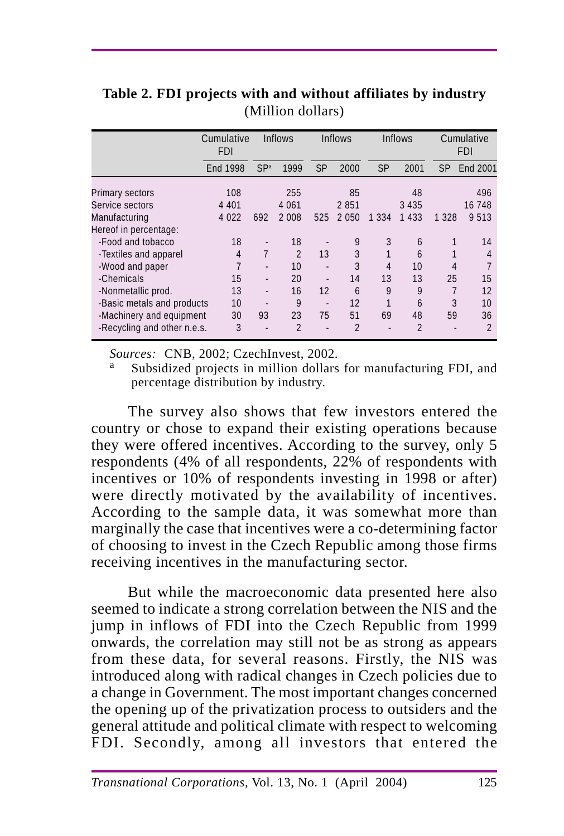|                                    | Cumulative<br>FDI |                              | <b>Inflows</b> |                          | <b>Inflows</b> |           | <b>Inflows</b> |         | Cumulative<br><b>FDI</b> |
|------------------------------------|-------------------|------------------------------|----------------|--------------------------|----------------|-----------|----------------|---------|--------------------------|
|                                    | End 1998          | SPa                          | 1999           | <b>SP</b>                | 2000           | <b>SP</b> | 2001           | SP      | End 2001                 |
| Primary sectors<br>Service sectors | 108<br>4 4 0 1    |                              | 255<br>4 0 6 1 |                          | 85<br>2851     |           | 48<br>3 4 3 5  |         | 496<br>16 748            |
| Manufacturing                      | 4 0 2 2           | 692                          | 2 0 0 8        | 525                      | 2 0 5 0        | 1 3 3 4   | 1 4 3 3        | 1 3 2 8 | 9 5 1 3                  |
| Hereof in percentage:              |                   |                              |                |                          |                |           |                |         |                          |
| -Food and tobacco                  | 18                | $\qquad \qquad \blacksquare$ | 18             |                          | 9              | 3         | 6              |         | 14                       |
| -Textiles and apparel              | 4                 | 7                            | $\mathfrak{D}$ | 13                       | 3              |           | 6              |         | 4                        |
| -Wood and paper                    | 7                 |                              | 10             |                          | 3              | 4         | 10             | 4       |                          |
| -Chemicals                         | 15                |                              | 20             |                          | 14             | 13        | 13             | 25      | 15                       |
| -Nonmetallic prod.                 | 13                | $\overline{\phantom{a}}$     | 16             | 12                       | 6              | 9         | 9              | 7       | 12                       |
| -Basic metals and products         | 10                |                              | 9              | $\overline{\phantom{a}}$ | 12             | 1         | 6              | 3       | 10                       |
| -Machinery and equipment           | 30                | 93                           | 23             | 75                       | 51             | 69        | 48             | 59      | 36                       |
| -Recycling and other n.e.s.        | 3                 |                              | $\overline{2}$ |                          | $\mathfrak{p}$ |           | $\mathfrak{p}$ |         | $\mathfrak{p}$           |

**Table 2. FDI projects with and without affiliates by industry** (Million dollars)

*Sources:* CNB, 2002; CzechInvest, 2002.<br><sup>a</sup> Subsidized projects in million dollars for manufacturing FDI, and percentage distribution by industry.

The survey also shows that few investors entered the country or chose to expand their existing operations because they were offered incentives. According to the survey, only 5 respondents (4% of all respondents, 22% of respondents with incentives or 10% of respondents investing in 1998 or after) were directly motivated by the availability of incentives. According to the sample data, it was somewhat more than marginally the case that incentives were a co-determining factor of choosing to invest in the Czech Republic among those firms receiving incentives in the manufacturing sector.

But while the macroeconomic data presented here also seemed to indicate a strong correlation between the NIS and the jump in inflows of FDI into the Czech Republic from 1999 onwards, the correlation may still not be as strong as appears from these data, for several reasons. Firstly, the NIS was introduced along with radical changes in Czech policies due to a change in Government. The most important changes concerned the opening up of the privatization process to outsiders and the general attitude and political climate with respect to welcoming FDI. Secondly, among all investors that entered the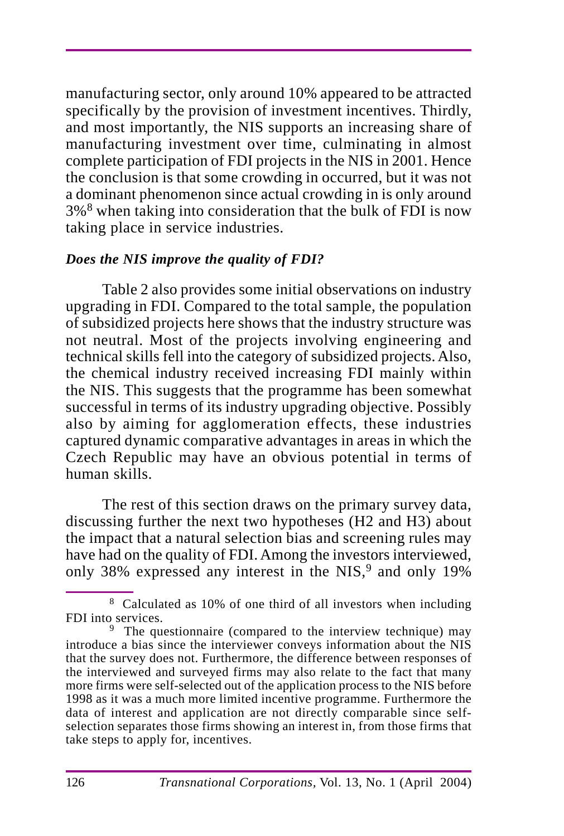manufacturing sector, only around 10% appeared to be attracted specifically by the provision of investment incentives. Thirdly, and most importantly, the NIS supports an increasing share of manufacturing investment over time, culminating in almost complete participation of FDI projects in the NIS in 2001. Hence the conclusion is that some crowding in occurred, but it was not a dominant phenomenon since actual crowding in is only around 3%8 when taking into consideration that the bulk of FDI is now taking place in service industries.

#### *Does the NIS improve the quality of FDI?*

Table 2 also provides some initial observations on industry upgrading in FDI. Compared to the total sample, the population of subsidized projects here shows that the industry structure was not neutral. Most of the projects involving engineering and technical skills fell into the category of subsidized projects. Also, the chemical industry received increasing FDI mainly within the NIS. This suggests that the programme has been somewhat successful in terms of its industry upgrading objective. Possibly also by aiming for agglomeration effects, these industries captured dynamic comparative advantages in areas in which the Czech Republic may have an obvious potential in terms of human skills.

The rest of this section draws on the primary survey data, discussing further the next two hypotheses (H2 and H3) about the impact that a natural selection bias and screening rules may have had on the quality of FDI. Among the investors interviewed, only 38% expressed any interest in the NIS,<sup>9</sup> and only 19%

<sup>8</sup> Calculated as 10% of one third of all investors when including FDI into services.

<sup>&</sup>lt;sup>9</sup> The questionnaire (compared to the interview technique) may introduce a bias since the interviewer conveys information about the NIS that the survey does not. Furthermore, the difference between responses of the interviewed and surveyed firms may also relate to the fact that many more firms were self-selected out of the application process to the NIS before 1998 as it was a much more limited incentive programme. Furthermore the data of interest and application are not directly comparable since selfselection separates those firms showing an interest in, from those firms that take steps to apply for, incentives.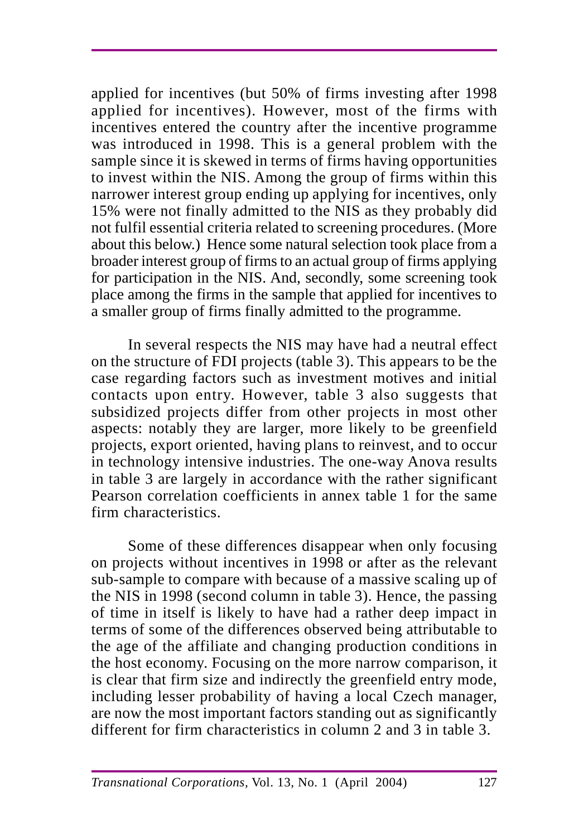applied for incentives (but 50% of firms investing after 1998 applied for incentives). However, most of the firms with incentives entered the country after the incentive programme was introduced in 1998. This is a general problem with the sample since it is skewed in terms of firms having opportunities to invest within the NIS. Among the group of firms within this narrower interest group ending up applying for incentives, only 15% were not finally admitted to the NIS as they probably did not fulfil essential criteria related to screening procedures. (More about this below.) Hence some natural selection took place from a broader interest group of firms to an actual group of firms applying for participation in the NIS. And, secondly, some screening took place among the firms in the sample that applied for incentives to a smaller group of firms finally admitted to the programme.

In several respects the NIS may have had a neutral effect on the structure of FDI projects (table 3). This appears to be the case regarding factors such as investment motives and initial contacts upon entry. However, table 3 also suggests that subsidized projects differ from other projects in most other aspects: notably they are larger, more likely to be greenfield projects, export oriented, having plans to reinvest, and to occur in technology intensive industries. The one-way Anova results in table 3 are largely in accordance with the rather significant Pearson correlation coefficients in annex table 1 for the same firm characteristics.

Some of these differences disappear when only focusing on projects without incentives in 1998 or after as the relevant sub-sample to compare with because of a massive scaling up of the NIS in 1998 (second column in table 3). Hence, the passing of time in itself is likely to have had a rather deep impact in terms of some of the differences observed being attributable to the age of the affiliate and changing production conditions in the host economy. Focusing on the more narrow comparison, it is clear that firm size and indirectly the greenfield entry mode, including lesser probability of having a local Czech manager, are now the most important factors standing out as significantly different for firm characteristics in column 2 and 3 in table 3.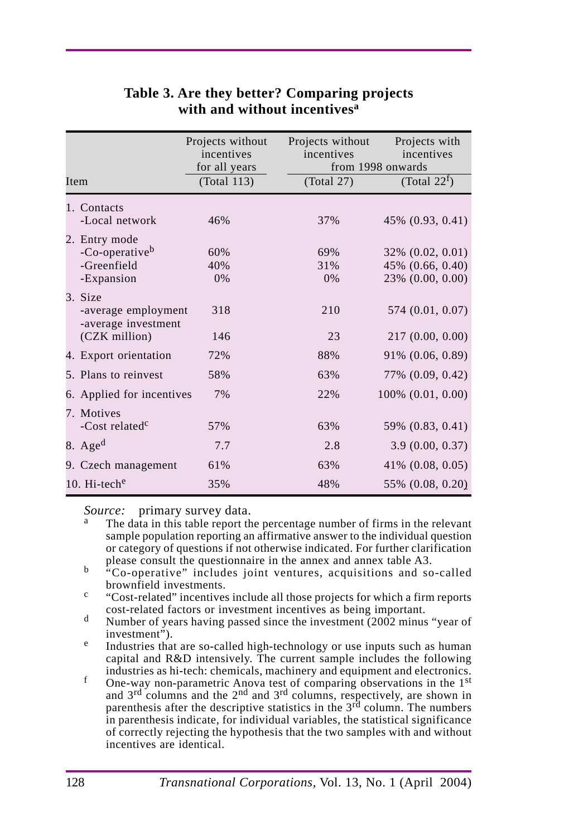|                                                                          | Projects without<br>incentives | Projects without<br>incentives | Projects with<br>incentives<br>from 1998 onwards         |
|--------------------------------------------------------------------------|--------------------------------|--------------------------------|----------------------------------------------------------|
| Item                                                                     | for all years<br>(Total 113)   | (Total 27)                     | (Total 22 <sup>f</sup> )                                 |
| 1. Contacts<br>-Local network                                            | 46%                            | 37%                            | 45% (0.93, 0.41)                                         |
| 2. Entry mode<br>-Co-operative <sup>b</sup><br>-Greenfield<br>-Expansion | 60%<br>40%<br>0%               | 69%<br>31%<br>0%               | 32% (0.02, 0.01)<br>45% (0.66, 0.40)<br>23% (0.00, 0.00) |
| 3. Size<br>-average employment<br>-average investment<br>(CZK million)   | 318<br>146                     | 210<br>23                      | 574 (0.01, 0.07)<br>217(0.00, 0.00)                      |
| 4. Export orientation                                                    | 72%                            | 88%                            | 91% (0.06, 0.89)                                         |
| 5. Plans to reinvest                                                     | 58%                            | 63%                            | 77% (0.09, 0.42)                                         |
| 6. Applied for incentives<br>7. Motives                                  | 7%                             | 22%                            | $100\%$ $(0.01, 0.00)$                                   |
| -Cost related <sup>c</sup>                                               | 57%                            | 63%                            | 59% (0.83, 0.41)                                         |
| 8. $Aged$                                                                | 7.7                            | 2.8                            | 3.9(0.00, 0.37)                                          |
| 9. Czech management                                                      | 61%                            | 63%                            | $41\%$ (0.08, 0.05)                                      |
| 10. $Hi$ -teche                                                          | 35%                            | 48%                            | 55% (0.08, 0.20)                                         |

# **Table 3. Are they better? Comparing projects with and without incentivesa**

- *Source:* primary survey data.<br><sup>a</sup> The data in this table report the percentage number of firms in the relevant sample population reporting an affirmative answer to the individual question or category of questions if not otherwise indicated. For further clarification please consult the questionnaire in the annex and annex table A3.
- please consult the questionnaire in the annex table and annex table A3. b "Co-operative" includes joint ventures, acquisitions and so-called brownfield investments.
- $\text{c}$  "Cost-related" incentives include all those projects for which a firm reports cost-related factors or investment incentives as being important.
- d Number of years having passed since the investment (2002 minus "year of investment").
- $e$  Industries that are so-called high-technology or use inputs such as human capital and R&D intensively. The current sample includes the following industries as hi-tech: chemicals, machinery and equipment and electronics.
- industries as hi-tech: chemicals, machinery and equipment and electronics.<br><sup>f</sup> One-way non-parametric Anova test of comparing observations in the 1<sup>st</sup> and  $3<sup>rd</sup>$  columns and the  $2<sup>nd</sup>$  and  $3<sup>rd</sup>$  columns, respectively, are shown in parenthesis after the descriptive statistics in the  $3<sup>rd</sup>$  column. The numbers in parenthesis indicate, for individual variables, the statistical significance of correctly rejecting the hypothesis that the two samples with and without incentives are identical.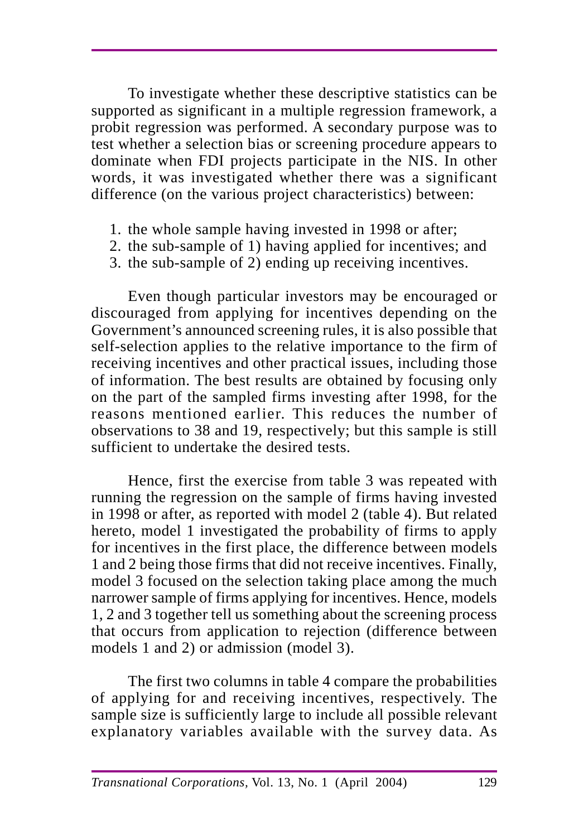To investigate whether these descriptive statistics can be supported as significant in a multiple regression framework, a probit regression was performed. A secondary purpose was to test whether a selection bias or screening procedure appears to dominate when FDI projects participate in the NIS. In other words, it was investigated whether there was a significant difference (on the various project characteristics) between:

- 1. the whole sample having invested in 1998 or after;
- 2. the sub-sample of 1) having applied for incentives; and
- 3. the sub-sample of 2) ending up receiving incentives.

Even though particular investors may be encouraged or discouraged from applying for incentives depending on the Government's announced screening rules, it is also possible that self-selection applies to the relative importance to the firm of receiving incentives and other practical issues, including those of information. The best results are obtained by focusing only on the part of the sampled firms investing after 1998, for the reasons mentioned earlier. This reduces the number of observations to 38 and 19, respectively; but this sample is still sufficient to undertake the desired tests.

Hence, first the exercise from table 3 was repeated with running the regression on the sample of firms having invested in 1998 or after, as reported with model 2 (table 4). But related hereto, model 1 investigated the probability of firms to apply for incentives in the first place, the difference between models 1 and 2 being those firms that did not receive incentives. Finally, model 3 focused on the selection taking place among the much narrower sample of firms applying for incentives. Hence, models 1, 2 and 3 together tell us something about the screening process that occurs from application to rejection (difference between models 1 and 2) or admission (model 3).

The first two columns in table 4 compare the probabilities of applying for and receiving incentives, respectively. The sample size is sufficiently large to include all possible relevant explanatory variables available with the survey data. As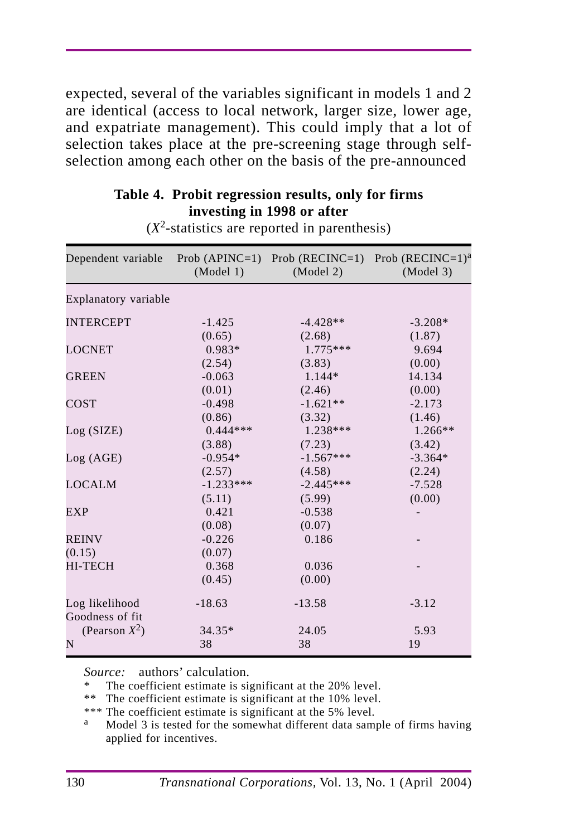expected, several of the variables significant in models 1 and 2 are identical (access to local network, larger size, lower age, and expatriate management). This could imply that a lot of selection takes place at the pre-screening stage through selfselection among each other on the basis of the pre-announced

## **Table 4. Probit regression results, only for firms investing in 1998 or after**

| Dependent variable   | (Model 1)   | (Model 2)   | Prob (APINC=1) Prob (RECINC=1) Prob (RECINC=1) <sup>a</sup><br>(Model 3) |
|----------------------|-------------|-------------|--------------------------------------------------------------------------|
| Explanatory variable |             |             |                                                                          |
| <b>INTERCEPT</b>     | $-1.425$    | $-4.428**$  | $-3.208*$                                                                |
|                      | (0.65)      | (2.68)      | (1.87)                                                                   |
| <b>LOCNET</b>        | $0.983*$    | $1.775***$  | 9.694                                                                    |
|                      | (2.54)      | (3.83)      | (0.00)                                                                   |
| <b>GREEN</b>         | $-0.063$    | $1.144*$    | 14.134                                                                   |
|                      | (0.01)      | (2.46)      | (0.00)                                                                   |
| COST                 | $-0.498$    | $-1.621**$  | $-2.173$                                                                 |
|                      | (0.86)      | (3.32)      | (1.46)                                                                   |
| Log(SIZE)            | $0.444***$  | $1.238***$  | $1.266**$                                                                |
|                      | (3.88)      | (7.23)      | (3.42)                                                                   |
| Log (AGE)            | $-0.954*$   | $-1.567***$ | $-3.364*$                                                                |
|                      | (2.57)      | (4.58)      | (2.24)                                                                   |
| <b>LOCALM</b>        | $-1.233***$ | $-2.445***$ | $-7.528$                                                                 |
|                      | (5.11)      | (5.99)      | (0.00)                                                                   |
| EXP                  | 0.421       | $-0.538$    |                                                                          |
|                      | (0.08)      | (0.07)      |                                                                          |
| <b>REINV</b>         | $-0.226$    | 0.186       |                                                                          |
| (0.15)               | (0.07)      |             |                                                                          |
| <b>HI-TECH</b>       | 0.368       | 0.036       |                                                                          |
|                      | (0.45)      | (0.00)      |                                                                          |
| Log likelihood       | $-18.63$    | $-13.58$    | $-3.12$                                                                  |
| Goodness of fit      |             |             |                                                                          |
| (Pearson $X^2$ )     | 34.35*      | 24.05       | 5.93                                                                     |
| N                    | 38          | 38          | 19                                                                       |

 $(X^2$ -statistics are reported in parenthesis)

*Source:* authors' calculation.

The coefficient estimate is significant at the 20% level.

\*\* The coefficient estimate is significant at the 10% level.

\*\*\* The coefficient estimate is significant at the 5% level.<br>a Model 3 is tested for the somewhat different data same

Model 3 is tested for the somewhat different data sample of firms having applied for incentives.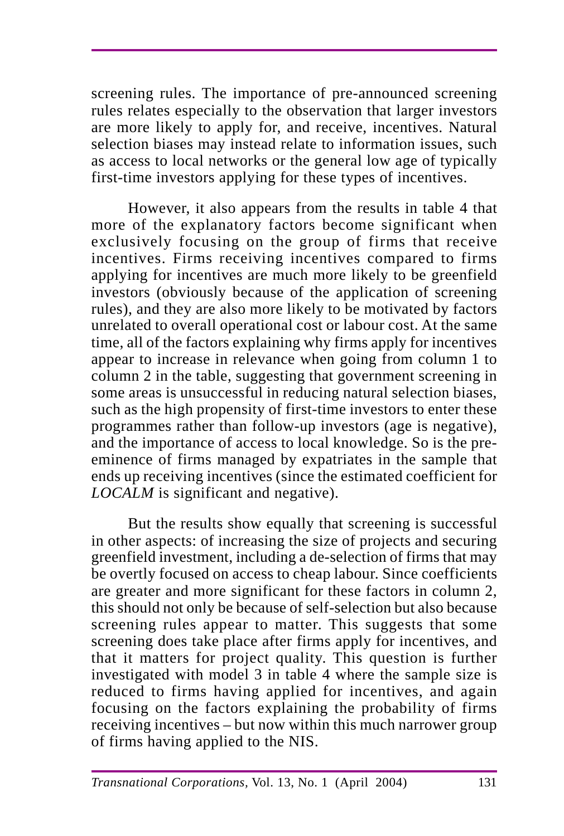screening rules. The importance of pre-announced screening rules relates especially to the observation that larger investors are more likely to apply for, and receive, incentives. Natural selection biases may instead relate to information issues, such as access to local networks or the general low age of typically first-time investors applying for these types of incentives.

However, it also appears from the results in table 4 that more of the explanatory factors become significant when exclusively focusing on the group of firms that receive incentives. Firms receiving incentives compared to firms applying for incentives are much more likely to be greenfield investors (obviously because of the application of screening rules), and they are also more likely to be motivated by factors unrelated to overall operational cost or labour cost. At the same time, all of the factors explaining why firms apply for incentives appear to increase in relevance when going from column 1 to column 2 in the table, suggesting that government screening in some areas is unsuccessful in reducing natural selection biases, such as the high propensity of first-time investors to enter these programmes rather than follow-up investors (age is negative), and the importance of access to local knowledge. So is the preeminence of firms managed by expatriates in the sample that ends up receiving incentives (since the estimated coefficient for *LOCALM* is significant and negative).

But the results show equally that screening is successful in other aspects: of increasing the size of projects and securing greenfield investment, including a de-selection of firms that may be overtly focused on access to cheap labour. Since coefficients are greater and more significant for these factors in column 2, this should not only be because of self-selection but also because screening rules appear to matter. This suggests that some screening does take place after firms apply for incentives, and that it matters for project quality. This question is further investigated with model 3 in table 4 where the sample size is reduced to firms having applied for incentives, and again focusing on the factors explaining the probability of firms receiving incentives – but now within this much narrower group of firms having applied to the NIS.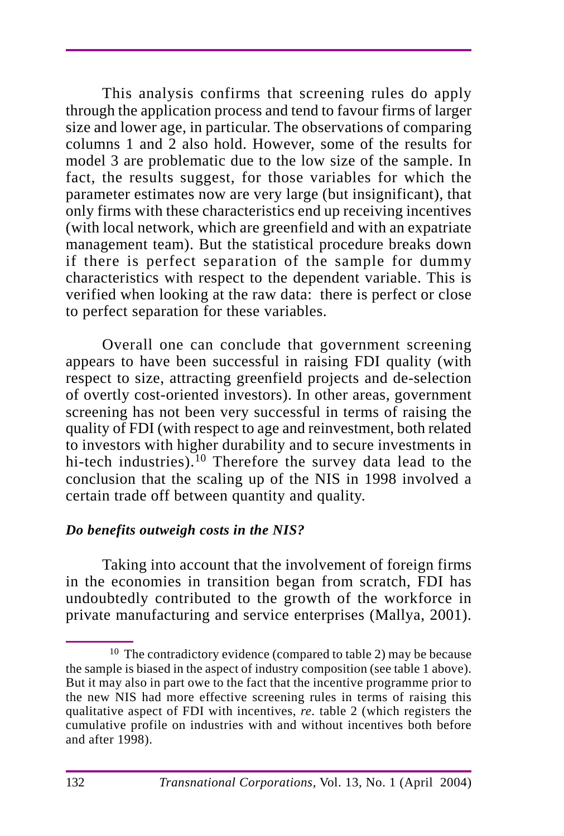This analysis confirms that screening rules do apply through the application process and tend to favour firms of larger size and lower age, in particular. The observations of comparing columns 1 and 2 also hold. However, some of the results for model 3 are problematic due to the low size of the sample. In fact, the results suggest, for those variables for which the parameter estimates now are very large (but insignificant), that only firms with these characteristics end up receiving incentives (with local network, which are greenfield and with an expatriate management team). But the statistical procedure breaks down if there is perfect separation of the sample for dummy characteristics with respect to the dependent variable. This is verified when looking at the raw data: there is perfect or close to perfect separation for these variables.

Overall one can conclude that government screening appears to have been successful in raising FDI quality (with respect to size, attracting greenfield projects and de-selection of overtly cost-oriented investors). In other areas, government screening has not been very successful in terms of raising the quality of FDI (with respect to age and reinvestment, both related to investors with higher durability and to secure investments in hi-tech industries).<sup>10</sup> Therefore the survey data lead to the conclusion that the scaling up of the NIS in 1998 involved a certain trade off between quantity and quality.

### *Do benefits outweigh costs in the NIS?*

Taking into account that the involvement of foreign firms in the economies in transition began from scratch, FDI has undoubtedly contributed to the growth of the workforce in private manufacturing and service enterprises (Mallya, 2001).

 $10$  The contradictory evidence (compared to table 2) may be because the sample is biased in the aspect of industry composition (see table 1 above). But it may also in part owe to the fact that the incentive programme prior to the new NIS had more effective screening rules in terms of raising this qualitative aspect of FDI with incentives, *re.* table 2 (which registers the cumulative profile on industries with and without incentives both before and after 1998).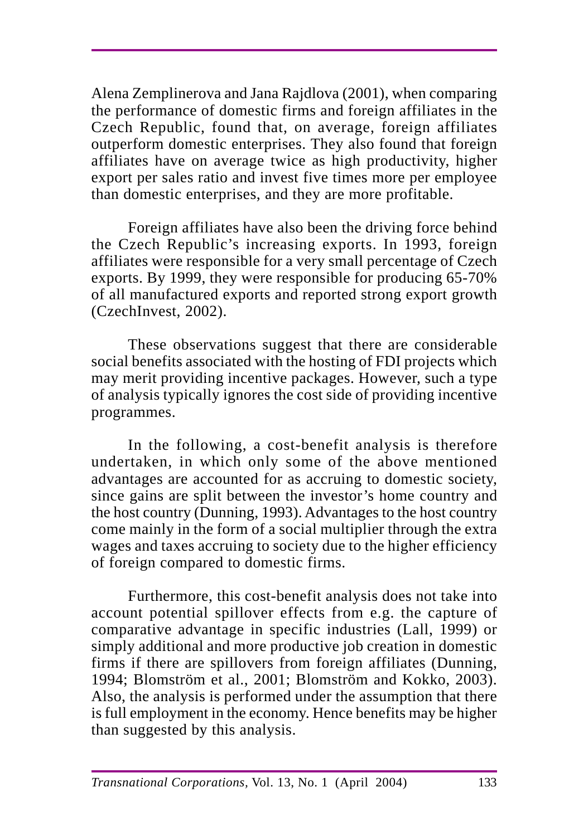Alena Zemplinerova and Jana Rajdlova (2001), when comparing the performance of domestic firms and foreign affiliates in the Czech Republic, found that, on average, foreign affiliates outperform domestic enterprises. They also found that foreign affiliates have on average twice as high productivity, higher export per sales ratio and invest five times more per employee than domestic enterprises, and they are more profitable.

Foreign affiliates have also been the driving force behind the Czech Republic's increasing exports. In 1993, foreign affiliates were responsible for a very small percentage of Czech exports. By 1999, they were responsible for producing 65-70% of all manufactured exports and reported strong export growth (CzechInvest, 2002).

These observations suggest that there are considerable social benefits associated with the hosting of FDI projects which may merit providing incentive packages. However, such a type of analysis typically ignores the cost side of providing incentive programmes.

In the following, a cost-benefit analysis is therefore undertaken, in which only some of the above mentioned advantages are accounted for as accruing to domestic society, since gains are split between the investor's home country and the host country (Dunning, 1993). Advantages to the host country come mainly in the form of a social multiplier through the extra wages and taxes accruing to society due to the higher efficiency of foreign compared to domestic firms.

Furthermore, this cost-benefit analysis does not take into account potential spillover effects from e.g. the capture of comparative advantage in specific industries (Lall, 1999) or simply additional and more productive job creation in domestic firms if there are spillovers from foreign affiliates (Dunning, 1994; Blomström et al., 2001; Blomström and Kokko, 2003). Also, the analysis is performed under the assumption that there is full employment in the economy. Hence benefits may be higher than suggested by this analysis.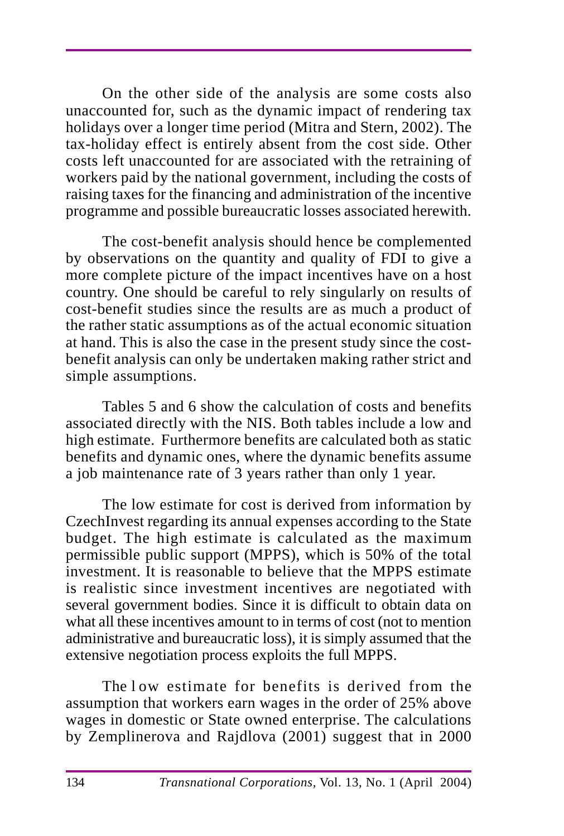On the other side of the analysis are some costs also unaccounted for, such as the dynamic impact of rendering tax holidays over a longer time period (Mitra and Stern, 2002). The tax-holiday effect is entirely absent from the cost side. Other costs left unaccounted for are associated with the retraining of workers paid by the national government, including the costs of raising taxes for the financing and administration of the incentive programme and possible bureaucratic losses associated herewith.

The cost-benefit analysis should hence be complemented by observations on the quantity and quality of FDI to give a more complete picture of the impact incentives have on a host country. One should be careful to rely singularly on results of cost-benefit studies since the results are as much a product of the rather static assumptions as of the actual economic situation at hand. This is also the case in the present study since the costbenefit analysis can only be undertaken making rather strict and simple assumptions.

Tables 5 and 6 show the calculation of costs and benefits associated directly with the NIS. Both tables include a low and high estimate. Furthermore benefits are calculated both as static benefits and dynamic ones, where the dynamic benefits assume a job maintenance rate of 3 years rather than only 1 year.

The low estimate for cost is derived from information by CzechInvest regarding its annual expenses according to the State budget. The high estimate is calculated as the maximum permissible public support (MPPS), which is 50% of the total investment. It is reasonable to believe that the MPPS estimate is realistic since investment incentives are negotiated with several government bodies. Since it is difficult to obtain data on what all these incentives amount to in terms of cost (not to mention administrative and bureaucratic loss), it is simply assumed that the extensive negotiation process exploits the full MPPS.

The low estimate for benefits is derived from the assumption that workers earn wages in the order of 25% above wages in domestic or State owned enterprise. The calculations by Zemplinerova and Rajdlova (2001) suggest that in 2000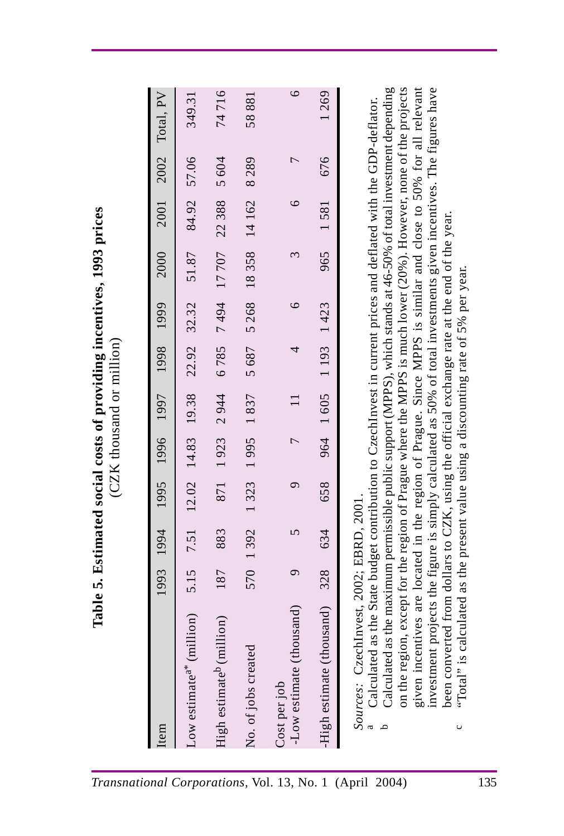| Item                                                                                                                                                                                                                                                                                                                                                                                                                                                                                                                                                                                                                                                                                                                                                                                                             | 1993 1994 |          | 1995                                    | 1996 1997      |               | 1998               | 1999            | 2000          | 2001    | 2002           | Total, PV |
|------------------------------------------------------------------------------------------------------------------------------------------------------------------------------------------------------------------------------------------------------------------------------------------------------------------------------------------------------------------------------------------------------------------------------------------------------------------------------------------------------------------------------------------------------------------------------------------------------------------------------------------------------------------------------------------------------------------------------------------------------------------------------------------------------------------|-----------|----------|-----------------------------------------|----------------|---------------|--------------------|-----------------|---------------|---------|----------------|-----------|
|                                                                                                                                                                                                                                                                                                                                                                                                                                                                                                                                                                                                                                                                                                                                                                                                                  |           |          |                                         |                |               |                    |                 |               |         |                |           |
| (million)<br>Low estimate <sup>a*</sup>                                                                                                                                                                                                                                                                                                                                                                                                                                                                                                                                                                                                                                                                                                                                                                          |           |          | 5.15 7.51 12.02 14.83 19.38 22.92 32.32 |                |               |                    |                 | 51.87         |         | 84.92 57.06    | 349.31    |
| million)<br>High estimate <sup>b</sup>                                                                                                                                                                                                                                                                                                                                                                                                                                                                                                                                                                                                                                                                                                                                                                           | 187       | 883      |                                         |                | 871 1923 2944 |                    | 6785 7494 17707 |               | 22388   | 5 604          | 74716     |
| ted<br>No. of jobs creat                                                                                                                                                                                                                                                                                                                                                                                                                                                                                                                                                                                                                                                                                                                                                                                         |           | 570 1392 | 1323 1995 1837                          |                |               | 5687               | 5268            | 18358         | 14 162  | 8289           | 58881     |
| (thousand)<br>Low estimate<br>Cost per job                                                                                                                                                                                                                                                                                                                                                                                                                                                                                                                                                                                                                                                                                                                                                                       | $\sigma$  | 5        | $\sigma$                                | $\overline{ }$ |               | 4                  | $\circ$         | $\tilde{\xi}$ | $\circ$ | $\overline{ }$ | $\circ$   |
| thousand)<br>High estimate                                                                                                                                                                                                                                                                                                                                                                                                                                                                                                                                                                                                                                                                                                                                                                                       | 328       | 634      | 658                                     |                |               | 964 1605 1993 1423 |                 | 965           | 1581    | 676            | 1269      |
| on the region, except for the region of Prague where the MPPS is much lower (20%). However, none of the projects<br>given incentives are located in the region of Prague. Since MPPS is similar and close to 50% for all relevant<br>investment projects the figure is simply calculated as 50% of total investments given incentives. The figures ha<br>Sources: CzechInvest, 2002; EBRD, 2001.<br><sup>a</sup> Calculated as the State budget contribution to CzechInvest in current prices and deflated with the GDP-deflator.<br><sup>b</sup> Calculated as the maximum permissible public support (MPPS),<br>been converted from dollars to CZK, using the official exchange rate at the end of the year.<br>"Total" is calculated as the present value using a discounting rate of 5% per year.<br>$\circ$ |           |          |                                         |                |               |                    |                 |               |         |                |           |
|                                                                                                                                                                                                                                                                                                                                                                                                                                                                                                                                                                                                                                                                                                                                                                                                                  |           |          |                                         |                |               |                    |                 |               |         |                |           |

- 
-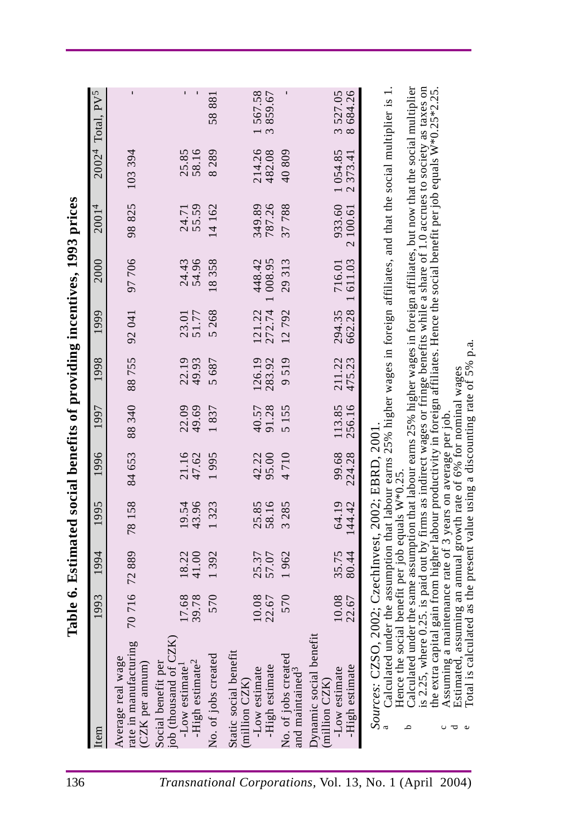|                                                                                                                                                                                                                                                                                                                                                                                                                                                                                                                                                                                                                                                                                                                                                                                                                                              |                |                                                                                           |                           |                 |                  |                  |                  |                    | Table 6. Estimated social benefits of providing incentives, 1993 prices |                     |                                         |
|----------------------------------------------------------------------------------------------------------------------------------------------------------------------------------------------------------------------------------------------------------------------------------------------------------------------------------------------------------------------------------------------------------------------------------------------------------------------------------------------------------------------------------------------------------------------------------------------------------------------------------------------------------------------------------------------------------------------------------------------------------------------------------------------------------------------------------------------|----------------|-------------------------------------------------------------------------------------------|---------------------------|-----------------|------------------|------------------|------------------|--------------------|-------------------------------------------------------------------------|---------------------|-----------------------------------------|
| Item                                                                                                                                                                                                                                                                                                                                                                                                                                                                                                                                                                                                                                                                                                                                                                                                                                         | 1993           | 1994                                                                                      | 1995                      | 1996            | 1997             | 1998             | 1999             | 2000               | 20014                                                                   |                     | $20024$ Total, PV <sup>5</sup>          |
| ring<br>Average real wage<br>rate in manufactu<br>(CZK per annum)                                                                                                                                                                                                                                                                                                                                                                                                                                                                                                                                                                                                                                                                                                                                                                            | 70716          | 72889                                                                                     | 78158                     | 84 653          | 88 340           | 88755            | 92041            | 97706              | 98825                                                                   | 103394              |                                         |
| CZK)<br>-High estimate <sup>2</sup><br>Social benefit per<br>job (thousand of<br>-Low estimate <sup>1</sup>                                                                                                                                                                                                                                                                                                                                                                                                                                                                                                                                                                                                                                                                                                                                  | 17.68<br>39.78 | 41.00<br>18.22                                                                            | 43.96<br>19.54            | 21.16<br>47.62  | 22.09<br>49.69   | 22.19<br>49.93   | 51.77<br>23.01   | 24.43<br>54.96     | 55.59<br>24.71                                                          | 25.85<br>58.16      |                                         |
| No. of jobs created                                                                                                                                                                                                                                                                                                                                                                                                                                                                                                                                                                                                                                                                                                                                                                                                                          | 570            | 1392                                                                                      | .323                      | 1995            | 1837             | 5687             | 5268             | 18358              | 14 162                                                                  | 8289                | 58881                                   |
| 這<br>Static social benef<br>-High estimate<br>-Low estimate<br>(million CZK                                                                                                                                                                                                                                                                                                                                                                                                                                                                                                                                                                                                                                                                                                                                                                  | 10.08<br>22.67 | 25.37<br>57.07                                                                            | 58.16<br>25.85            | 42.22<br>95.00  | 40.57<br>91.28   | 126.19<br>283.92 | 272.74<br>121.22 | 448.42<br>1 008.95 | 787.26<br>349.89                                                        | 214.26<br>482.08    | .567.58<br>859.67<br>$\tilde{\epsilon}$ |
| No. of jobs created<br>and maintained <sup>3</sup>                                                                                                                                                                                                                                                                                                                                                                                                                                                                                                                                                                                                                                                                                                                                                                                           | 570            | 1962                                                                                      | 285<br>$\tilde{\epsilon}$ | 4710            | 5155             | 9519             | 12792            | 29313              | 37788                                                                   | 40809               |                                         |
| Dynamic social benefit<br>-High estimate<br>-Low estimate<br>(million CZK)                                                                                                                                                                                                                                                                                                                                                                                                                                                                                                                                                                                                                                                                                                                                                                   | 10.08<br>22.67 | 35.75<br>80.44                                                                            | 64.19<br>144.42           | 99.68<br>224.28 | 113.85<br>256.16 | 211.22<br>475.23 | 662.28<br>294.35 | 1611.03<br>716.01  | 933.60<br>2 100.61                                                      | 1054.85<br>2 373.41 | 684.26<br>3 527.05                      |
| Calculated under the same assumption that labour earns 25% higher wages in foreign affiliates, but now that the social multiplier<br>is 2.25, where 0.25. is paid out by firms as indirect wages or fringe benefits while a share of 1.0 accrues to society as taxes on<br>Calculated under the assumption that labour earns 25% higher wages in foreign affiliates, and that the social multiplier is $1$ .<br>the extra capital gain from higher labour productivity in foreign affiliates. Hence the social benefit per job equals W*0.25*2.25<br>Assuming a maintenance rate of 3 years on average per job.<br>Estimated, assuming an annual growth rate of 6% for nominal wages<br>Total is calculated as the present value using a discounting rate of 5% p.a.<br>Sources: CZSO, 2002; CzechInvest, 2002; EBRD, 2001<br>Hence the<br>م |                | a maintenance rate of 3 years on average per job<br>social benefit per job equals W*0.25. |                           |                 |                  |                  |                  |                    |                                                                         |                     |                                         |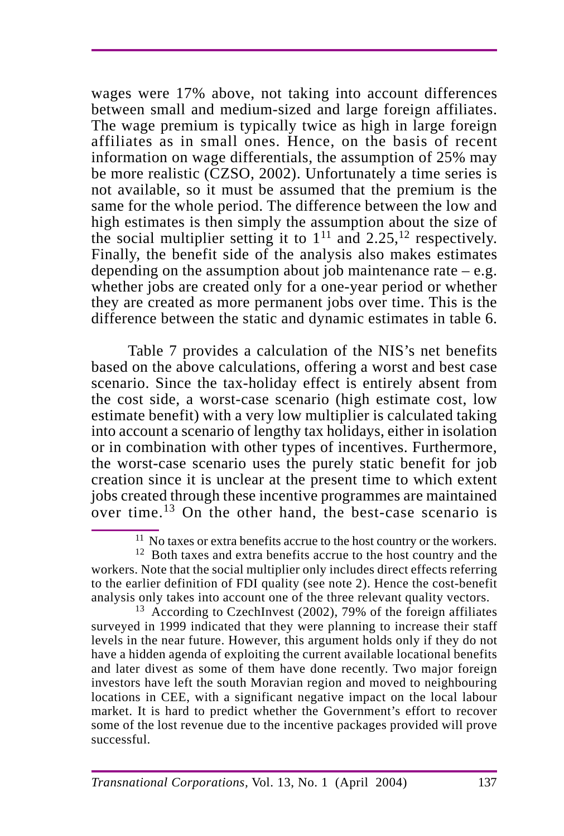wages were 17% above, not taking into account differences between small and medium-sized and large foreign affiliates. The wage premium is typically twice as high in large foreign affiliates as in small ones. Hence, on the basis of recent information on wage differentials, the assumption of 25% may be more realistic (CZSO, 2002). Unfortunately a time series is not available, so it must be assumed that the premium is the same for the whole period. The difference between the low and high estimates is then simply the assumption about the size of the social multiplier setting it to  $1<sup>11</sup>$  and  $2.25$ , <sup>12</sup> respectively. Finally, the benefit side of the analysis also makes estimates depending on the assumption about job maintenance rate  $-e.g.$ whether jobs are created only for a one-year period or whether they are created as more permanent jobs over time. This is the difference between the static and dynamic estimates in table 6.

Table 7 provides a calculation of the NIS's net benefits based on the above calculations, offering a worst and best case scenario. Since the tax-holiday effect is entirely absent from the cost side, a worst-case scenario (high estimate cost, low estimate benefit) with a very low multiplier is calculated taking into account a scenario of lengthy tax holidays, either in isolation or in combination with other types of incentives. Furthermore, the worst-case scenario uses the purely static benefit for job creation since it is unclear at the present time to which extent jobs created through these incentive programmes are maintained over time.13 On the other hand, the best-case scenario is

<sup>11</sup> No taxes or extra benefits accrue to the host country or the workers.

<sup>13</sup> According to CzechInvest (2002), 79% of the foreign affiliates surveyed in 1999 indicated that they were planning to increase their staff levels in the near future. However, this argument holds only if they do not have a hidden agenda of exploiting the current available locational benefits and later divest as some of them have done recently. Two major foreign investors have left the south Moravian region and moved to neighbouring locations in CEE, with a significant negative impact on the local labour market. It is hard to predict whether the Government's effort to recover some of the lost revenue due to the incentive packages provided will prove successful.

<sup>&</sup>lt;sup>12</sup> Both taxes and extra benefits accrue to the host country and the workers. Note that the social multiplier only includes direct effects referring to the earlier definition of FDI quality (see note 2). Hence the cost-benefit analysis only takes into account one of the three relevant quality vectors.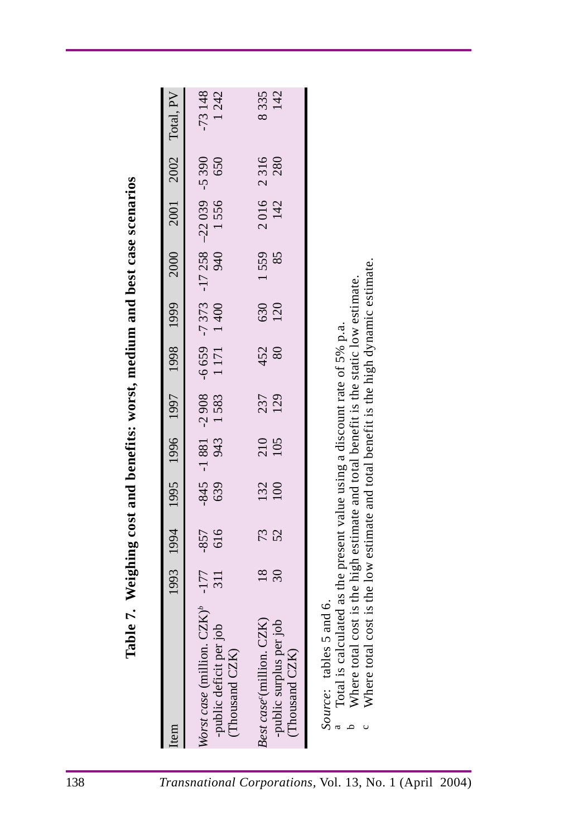| ighing cost and benefits: worst, medium and best case scenarios |
|-----------------------------------------------------------------|
|                                                                 |
|                                                                 |
|                                                                 |
| Ï                                                               |
|                                                                 |
|                                                                 |
|                                                                 |
|                                                                 |
| $\mathbf{W}$                                                    |
|                                                                 |
| r<br>'<br>n<br>C                                                |

| 138                                                     |                                                                                                                                                                                                                                                                                                                                                          |                           |               |      |                             |            |             |            |            |                                           |      |                  |
|---------------------------------------------------------|----------------------------------------------------------------------------------------------------------------------------------------------------------------------------------------------------------------------------------------------------------------------------------------------------------------------------------------------------------|---------------------------|---------------|------|-----------------------------|------------|-------------|------------|------------|-------------------------------------------|------|------------------|
|                                                         | Table 7. Weighing cost and benefits: worst, medium and best case scenarios<br>tem                                                                                                                                                                                                                                                                        | 1993                      | 1994          | 1995 | 1996                        | 1997       | 1998        | 1999       | 2000       | 2001                                      | 2002 | Total, PV        |
|                                                         | ion. $CZK$ ) <sup>b</sup><br>t per job<br>$\widetilde{K}$<br><i>Worst case (milli)</i><br>-public deficit<br>(Thousand CZ                                                                                                                                                                                                                                | $-177$<br>$\overline{11}$ | 616<br>$-857$ | 639  | $-845 - 1881 - 2908$<br>943 | 1583       | 1 171 1 400 |            | 940        | $-6659$ -7373 -17258 -22039 -5390<br>1556 | 650  | $-73148$<br>1242 |
|                                                         | s per job<br>m. CZK)<br>$\rm \Omega$<br>-public surplus<br>Thousand CZ<br>Best case <sup>c</sup> (mill                                                                                                                                                                                                                                                   | 18<br>$\mathfrak{S}$      | 73            | 132  | 210<br>105                  | 237<br>129 | 452<br>80   | 630<br>120 | 1559<br>85 | 2016 2316<br>142                          | 280  | 8335<br>142      |
| Transnational Corporations, Vol. 13, No. 1 (April 2004) | otal cost is the low estimate and total benefit is the high dynamic estimate.<br>otal cost is the high estimate and total benefit is the static low estimate.<br>calculated as the present value using a discount rate of 5% p.a.<br>$\text{les } 5$ and 6.<br>Source: tabi<br><sup>a</sup> Total is c<br><sup>b</sup> Where to<br><sup>c</sup> Where to |                           |               |      |                             |            |             |            |            |                                           |      |                  |
|                                                         |                                                                                                                                                                                                                                                                                                                                                          |                           |               |      |                             |            |             |            |            |                                           |      |                  |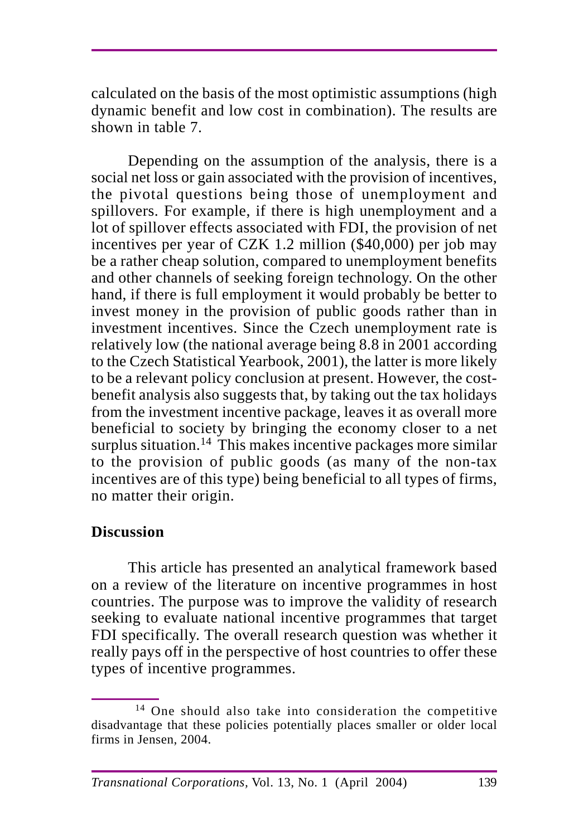calculated on the basis of the most optimistic assumptions (high dynamic benefit and low cost in combination). The results are shown in table 7.

Depending on the assumption of the analysis, there is a social net loss or gain associated with the provision of incentives, the pivotal questions being those of unemployment and spillovers. For example, if there is high unemployment and a lot of spillover effects associated with FDI, the provision of net incentives per year of CZK 1.2 million (\$40,000) per job may be a rather cheap solution, compared to unemployment benefits and other channels of seeking foreign technology. On the other hand, if there is full employment it would probably be better to invest money in the provision of public goods rather than in investment incentives. Since the Czech unemployment rate is relatively low (the national average being 8.8 in 2001 according to the Czech Statistical Yearbook, 2001), the latter is more likely to be a relevant policy conclusion at present. However, the costbenefit analysis also suggests that, by taking out the tax holidays from the investment incentive package, leaves it as overall more beneficial to society by bringing the economy closer to a net surplus situation.<sup>14</sup> This makes incentive packages more similar to the provision of public goods (as many of the non-tax incentives are of this type) being beneficial to all types of firms, no matter their origin.

# **Discussion**

This article has presented an analytical framework based on a review of the literature on incentive programmes in host countries. The purpose was to improve the validity of research seeking to evaluate national incentive programmes that target FDI specifically. The overall research question was whether it really pays off in the perspective of host countries to offer these types of incentive programmes.

<sup>14</sup> One should also take into consideration the competitive disadvantage that these policies potentially places smaller or older local firms in Jensen, 2004.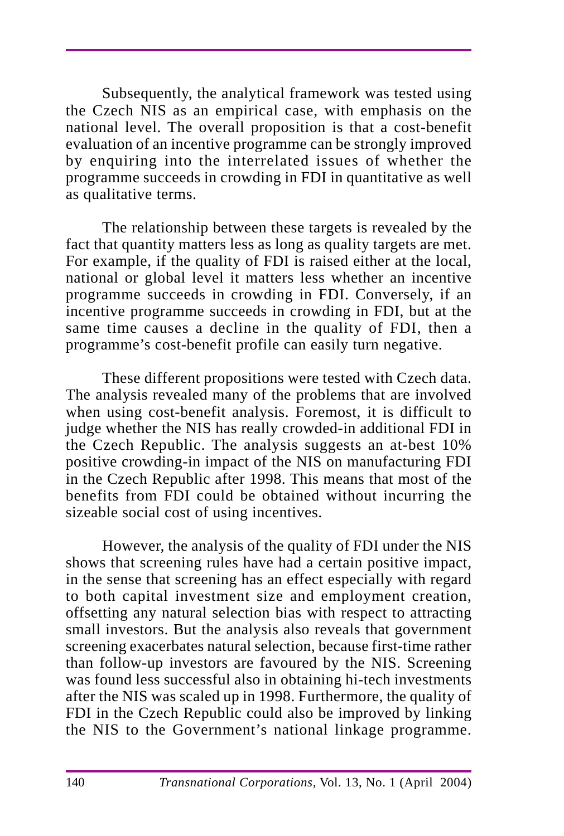Subsequently, the analytical framework was tested using the Czech NIS as an empirical case, with emphasis on the national level. The overall proposition is that a cost-benefit evaluation of an incentive programme can be strongly improved by enquiring into the interrelated issues of whether the programme succeeds in crowding in FDI in quantitative as well as qualitative terms.

The relationship between these targets is revealed by the fact that quantity matters less as long as quality targets are met. For example, if the quality of FDI is raised either at the local, national or global level it matters less whether an incentive programme succeeds in crowding in FDI. Conversely, if an incentive programme succeeds in crowding in FDI, but at the same time causes a decline in the quality of FDI, then a programme's cost-benefit profile can easily turn negative.

These different propositions were tested with Czech data. The analysis revealed many of the problems that are involved when using cost-benefit analysis. Foremost, it is difficult to judge whether the NIS has really crowded-in additional FDI in the Czech Republic. The analysis suggests an at-best 10% positive crowding-in impact of the NIS on manufacturing FDI in the Czech Republic after 1998. This means that most of the benefits from FDI could be obtained without incurring the sizeable social cost of using incentives.

However, the analysis of the quality of FDI under the NIS shows that screening rules have had a certain positive impact, in the sense that screening has an effect especially with regard to both capital investment size and employment creation, offsetting any natural selection bias with respect to attracting small investors. But the analysis also reveals that government screening exacerbates natural selection, because first-time rather than follow-up investors are favoured by the NIS. Screening was found less successful also in obtaining hi-tech investments after the NIS was scaled up in 1998. Furthermore, the quality of FDI in the Czech Republic could also be improved by linking the NIS to the Government's national linkage programme.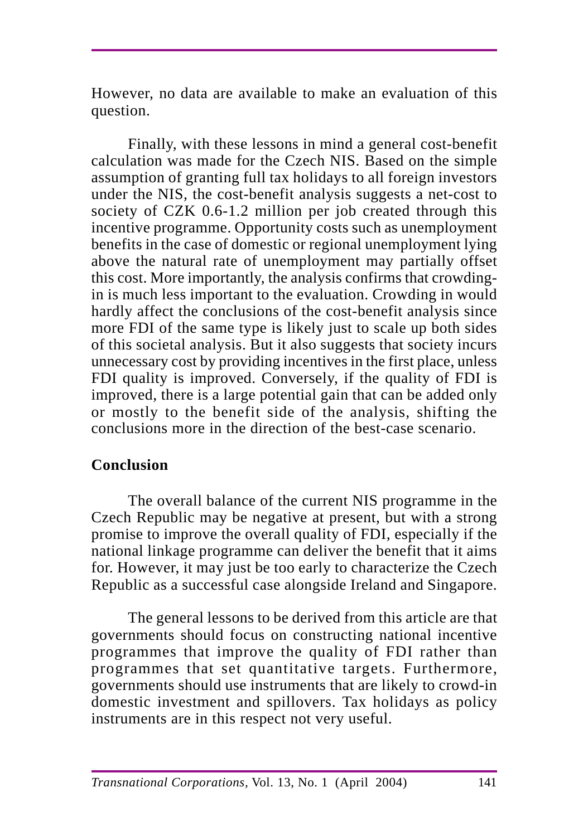However, no data are available to make an evaluation of this question.

Finally, with these lessons in mind a general cost-benefit calculation was made for the Czech NIS. Based on the simple assumption of granting full tax holidays to all foreign investors under the NIS, the cost-benefit analysis suggests a net-cost to society of CZK 0.6-1.2 million per job created through this incentive programme. Opportunity costs such as unemployment benefits in the case of domestic or regional unemployment lying above the natural rate of unemployment may partially offset this cost. More importantly, the analysis confirms that crowdingin is much less important to the evaluation. Crowding in would hardly affect the conclusions of the cost-benefit analysis since more FDI of the same type is likely just to scale up both sides of this societal analysis. But it also suggests that society incurs unnecessary cost by providing incentives in the first place, unless FDI quality is improved. Conversely, if the quality of FDI is improved, there is a large potential gain that can be added only or mostly to the benefit side of the analysis, shifting the conclusions more in the direction of the best-case scenario.

# **Conclusion**

The overall balance of the current NIS programme in the Czech Republic may be negative at present, but with a strong promise to improve the overall quality of FDI, especially if the national linkage programme can deliver the benefit that it aims for. However, it may just be too early to characterize the Czech Republic as a successful case alongside Ireland and Singapore.

The general lessons to be derived from this article are that governments should focus on constructing national incentive programmes that improve the quality of FDI rather than programmes that set quantitative targets. Furthermore, governments should use instruments that are likely to crowd-in domestic investment and spillovers. Tax holidays as policy instruments are in this respect not very useful.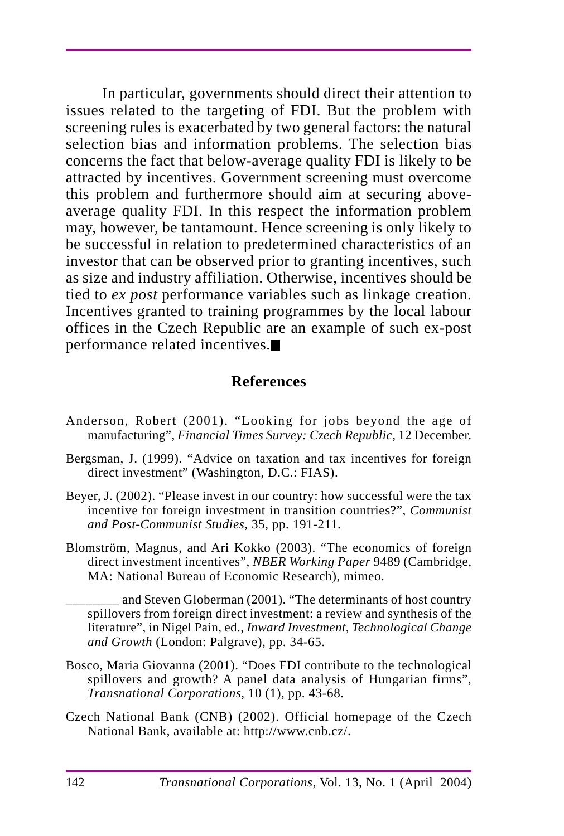In particular, governments should direct their attention to issues related to the targeting of FDI. But the problem with screening rules is exacerbated by two general factors: the natural selection bias and information problems. The selection bias concerns the fact that below-average quality FDI is likely to be attracted by incentives. Government screening must overcome this problem and furthermore should aim at securing aboveaverage quality FDI. In this respect the information problem may, however, be tantamount. Hence screening is only likely to be successful in relation to predetermined characteristics of an investor that can be observed prior to granting incentives, such as size and industry affiliation. Otherwise, incentives should be tied to *ex post* performance variables such as linkage creation. Incentives granted to training programmes by the local labour offices in the Czech Republic are an example of such ex-post performance related incentives.

### **References**

- Anderson, Robert (2001). "Looking for jobs beyond the age of manufacturing", *Financial Times Survey: Czech Republic*, 12 December.
- Bergsman, J. (1999). "Advice on taxation and tax incentives for foreign direct investment" (Washington, D.C.: FIAS).
- Beyer, J. (2002). "Please invest in our country: how successful were the tax incentive for foreign investment in transition countries?", *Communist and Post-Communist Studies*, 35, pp. 191-211.
- Blomström, Magnus, and Ari Kokko (2003). "The economics of foreign direct investment incentives", *NBER Working Paper* 9489 (Cambridge, MA: National Bureau of Economic Research), mimeo.

\_\_\_\_\_\_\_\_ and Steven Globerman (2001). "The determinants of host country spillovers from foreign direct investment: a review and synthesis of the literature", in Nigel Pain, ed., *Inward Investment, Technological Change and Growth* (London: Palgrave), pp. 34-65.

- Bosco, Maria Giovanna (2001). "Does FDI contribute to the technological spillovers and growth? A panel data analysis of Hungarian firms", *Transnational Corporations*, 10 (1), pp. 43-68.
- Czech National Bank (CNB) (2002). Official homepage of the Czech National Bank, available at: http://www.cnb.cz/.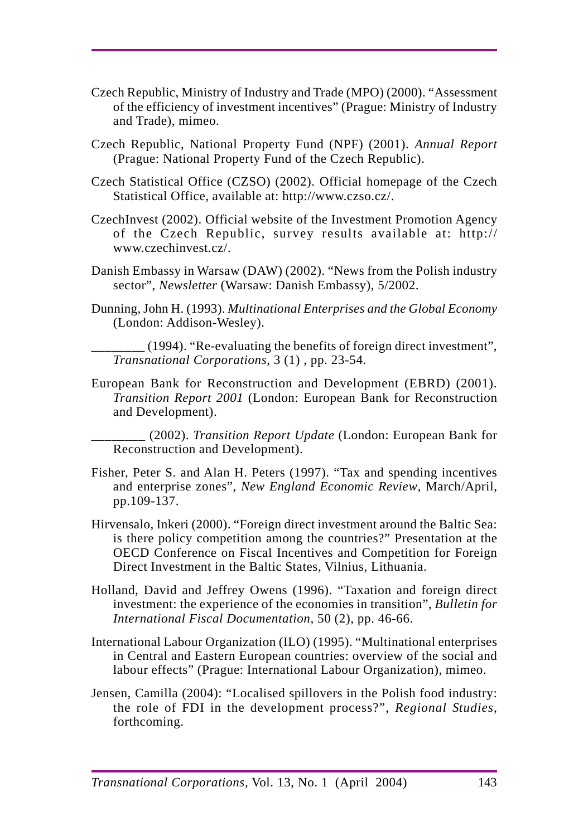- Czech Republic, Ministry of Industry and Trade (MPO) (2000). "Assessment of the efficiency of investment incentives" (Prague: Ministry of Industry and Trade), mimeo.
- Czech Republic, National Property Fund (NPF) (2001). *Annual Report* (Prague: National Property Fund of the Czech Republic).
- Czech Statistical Office (CZSO) (2002). Official homepage of the Czech Statistical Office, available at: http://www.czso.cz/.
- CzechInvest (2002). Official website of the Investment Promotion Agency of the Czech Republic, survey results available at: http:// www.czechinvest.cz/.
- Danish Embassy in Warsaw (DAW) (2002). "News from the Polish industry sector", *Newsletter* (Warsaw: Danish Embassy), 5/2002.
- Dunning, John H. (1993). *Multinational Enterprises and the Global Economy* (London: Addison-Wesley).
	- \_\_\_\_\_\_\_\_ (1994). "Re-evaluating the benefits of foreign direct investment", *Transnational Corporations*, 3 (1) , pp. 23-54.
- European Bank for Reconstruction and Development (EBRD) (2001). *Transition Report 2001* (London: European Bank for Reconstruction and Development).

\_\_\_\_\_\_\_\_ (2002). *Transition Report Update* (London: European Bank for Reconstruction and Development).

- Fisher, Peter S. and Alan H. Peters (1997). "Tax and spending incentives and enterprise zones", *New England Economic Review*, March/April, pp.109-137.
- Hirvensalo, Inkeri (2000). "Foreign direct investment around the Baltic Sea: is there policy competition among the countries?" Presentation at the OECD Conference on Fiscal Incentives and Competition for Foreign Direct Investment in the Baltic States, Vilnius, Lithuania.
- Holland, David and Jeffrey Owens (1996). "Taxation and foreign direct investment: the experience of the economies in transition", *Bulletin for International Fiscal Documentation*, 50 (2), pp. 46-66.
- International Labour Organization (ILO) (1995). "Multinational enterprises in Central and Eastern European countries: overview of the social and labour effects" (Prague: International Labour Organization), mimeo.
- Jensen, Camilla (2004): "Localised spillovers in the Polish food industry: the role of FDI in the development process?", *Regional Studies*, forthcoming.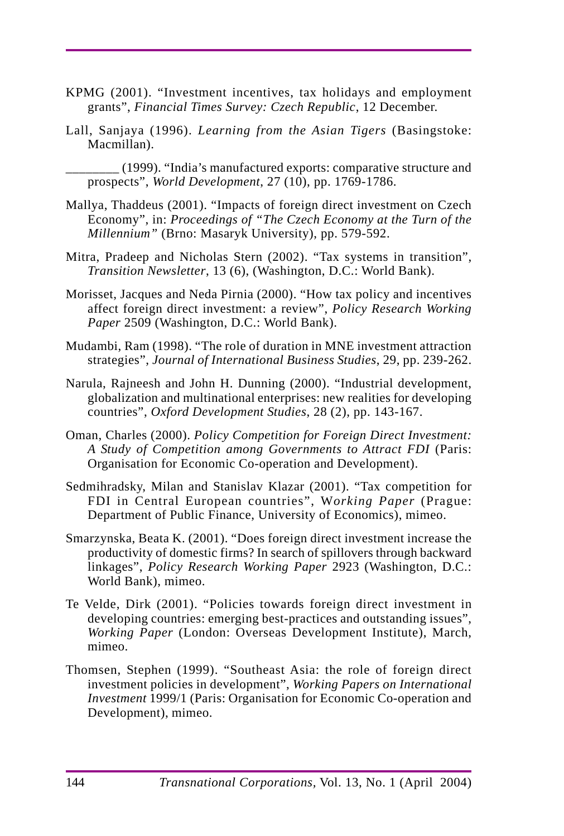- KPMG (2001). "Investment incentives, tax holidays and employment grants", *Financial Times Survey: Czech Republic*, 12 December.
- Lall, Sanjaya (1996). *Learning from the Asian Tigers* (Basingstoke: Macmillan).

\_\_\_\_\_\_\_\_ (1999). "India's manufactured exports: comparative structure and prospects", *World Development*, 27 (10), pp. 1769-1786.

- Mallya, Thaddeus (2001). "Impacts of foreign direct investment on Czech Economy", in: *Proceedings of "The Czech Economy at the Turn of the Millennium"* (Brno: Masaryk University), pp. 579-592.
- Mitra, Pradeep and Nicholas Stern (2002). "Tax systems in transition", *Transition Newsletter*, 13 (6), (Washington, D.C.: World Bank).
- Morisset, Jacques and Neda Pirnia (2000). "How tax policy and incentives affect foreign direct investment: a review", *Policy Research Working Paper* 2509 (Washington, D.C.: World Bank).
- Mudambi, Ram (1998). "The role of duration in MNE investment attraction strategies", *Journal of International Business Studies*, 29, pp. 239-262.
- Narula, Rajneesh and John H. Dunning (2000). "Industrial development, globalization and multinational enterprises: new realities for developing countries", *Oxford Development Studies*, 28 (2), pp. 143-167.
- Oman, Charles (2000). *Policy Competition for Foreign Direct Investment: A Study of Competition among Governments to Attract FDI* (Paris: Organisation for Economic Co-operation and Development).
- Sedmihradsky, Milan and Stanislav Klazar (2001). "Tax competition for FDI in Central European countries", W*orking Paper* (Prague: Department of Public Finance, University of Economics), mimeo.
- Smarzynska, Beata K. (2001). "Does foreign direct investment increase the productivity of domestic firms? In search of spillovers through backward linkages", *Policy Research Working Paper* 2923 (Washington, D.C.: World Bank), mimeo.
- Te Velde, Dirk (2001). "Policies towards foreign direct investment in developing countries: emerging best-practices and outstanding issues", *Working Paper* (London: Overseas Development Institute), March, mimeo.
- Thomsen, Stephen (1999). "Southeast Asia: the role of foreign direct investment policies in development", *Working Papers on International Investment* 1999/1 (Paris: Organisation for Economic Co-operation and Development), mimeo.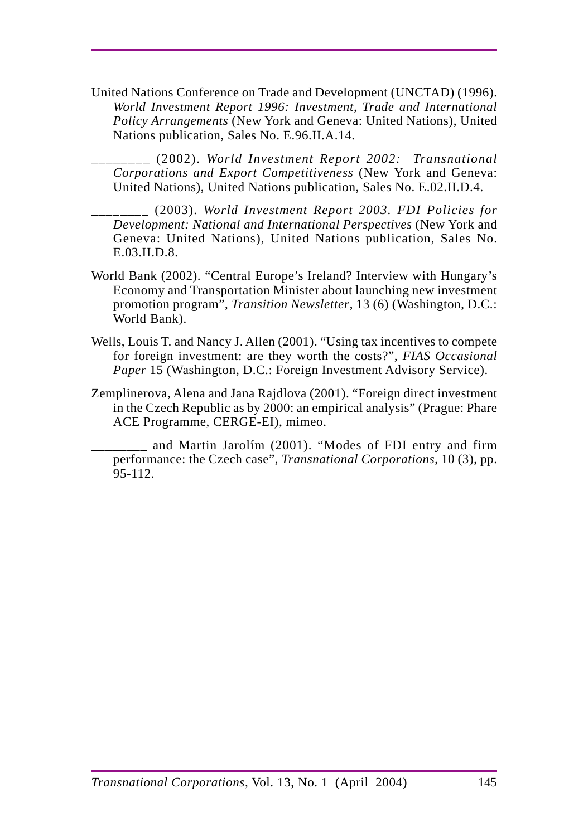United Nations Conference on Trade and Development (UNCTAD) (1996). *World Investment Report 1996: Investment, Trade and International Policy Arrangements* (New York and Geneva: United Nations), United Nations publication, Sales No. E.96.II.A.14.

\_\_\_\_\_\_\_\_ (2002). *World Investment Report 2002: Transnational Corporations and Export Competitiveness* (New York and Geneva: United Nations), United Nations publication, Sales No. E.02.II.D.4.

\_\_\_\_\_\_\_\_ (2003). *World Investment Report 2003. FDI Policies for Development: National and International Perspectives* (New York and Geneva: United Nations), United Nations publication, Sales No. E.03.II.D.8.

- World Bank (2002). "Central Europe's Ireland? Interview with Hungary's Economy and Transportation Minister about launching new investment promotion program", *Transition Newsletter*, 13 (6) (Washington, D.C.: World Bank).
- Wells, Louis T. and Nancy J. Allen (2001). "Using tax incentives to compete for foreign investment: are they worth the costs?", *FIAS Occasional Paper* 15 (Washington, D.C.: Foreign Investment Advisory Service).
- Zemplinerova, Alena and Jana Rajdlova (2001). "Foreign direct investment in the Czech Republic as by 2000: an empirical analysis" (Prague: Phare ACE Programme, CERGE-EI), mimeo.

\_\_\_\_\_\_\_\_ and Martin Jarolím (2001). "Modes of FDI entry and firm performance: the Czech case", *Transnational Corporations*, 10 (3), pp. 95-112.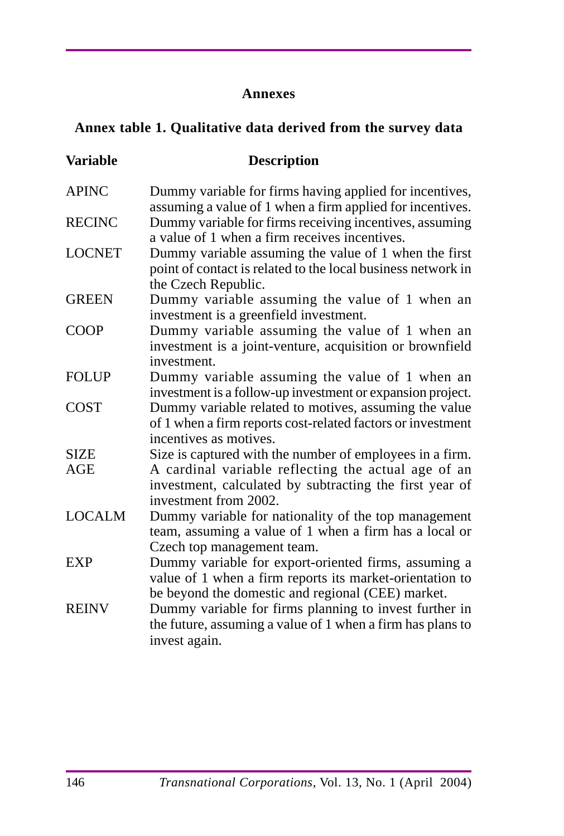#### **Annexes**

# **Annex table 1. Qualitative data derived from the survey data**

| <b>Variable</b> | <b>Description</b>                                                                                                                                                    |
|-----------------|-----------------------------------------------------------------------------------------------------------------------------------------------------------------------|
| <b>APINC</b>    | Dummy variable for firms having applied for incentives,<br>assuming a value of 1 when a firm applied for incentives.                                                  |
| <b>RECINC</b>   | Dummy variable for firms receiving incentives, assuming<br>a value of 1 when a firm receives incentives.                                                              |
| <b>LOCNET</b>   | Dummy variable assuming the value of 1 when the first<br>point of contact is related to the local business network in<br>the Czech Republic.                          |
| <b>GREEN</b>    | Dummy variable assuming the value of 1 when an<br>investment is a greenfield investment.                                                                              |
| <b>COOP</b>     | Dummy variable assuming the value of 1 when an<br>investment is a joint-venture, acquisition or brownfield<br>investment.                                             |
| <b>FOLUP</b>    | Dummy variable assuming the value of 1 when an<br>investment is a follow-up investment or expansion project.                                                          |
| <b>COST</b>     | Dummy variable related to motives, assuming the value<br>of 1 when a firm reports cost-related factors or investment<br>incentives as motives.                        |
| <b>SIZE</b>     | Size is captured with the number of employees in a firm.                                                                                                              |
| <b>AGE</b>      | A cardinal variable reflecting the actual age of an<br>investment, calculated by subtracting the first year of<br>investment from 2002.                               |
| <b>LOCALM</b>   | Dummy variable for nationality of the top management<br>team, assuming a value of 1 when a firm has a local or<br>Czech top management team.                          |
| <b>EXP</b>      | Dummy variable for export-oriented firms, assuming a<br>value of 1 when a firm reports its market-orientation to<br>be beyond the domestic and regional (CEE) market. |
| <b>REINV</b>    | Dummy variable for firms planning to invest further in<br>the future, assuming a value of 1 when a firm has plans to<br>invest again.                                 |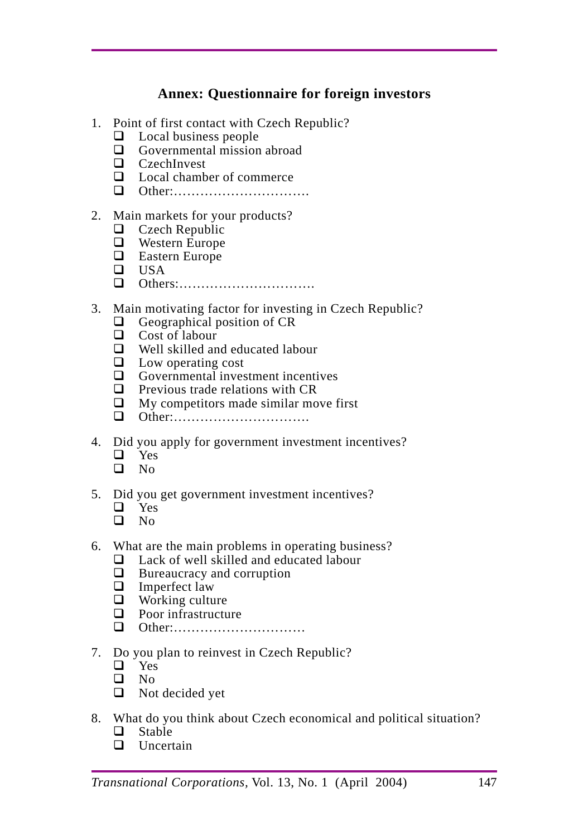# **Annex: Questionnaire for foreign investors**

- 1. Point of first contact with Czech Republic?
	- $\Box$  Local business people
	- $\Box$  Governmental mission abroad
	- □ CzechInvest
	- $\Box$  Local chamber of commerce
	- Other:………………………….

#### 2. Main markets for your products?

- **Q** Czech Republic
- **Q** Western Europe
- □ Eastern Europe
- $\Box$  USA
- Others:………………………….

#### 3. Main motivating factor for investing in Czech Republic?

- $\Box$  Geographical position of CR
- Cost of labour
- Well skilled and educated labour
- $\Box$  Low operating cost
- $\Box$  Governmental investment incentives
- $\Box$  Previous trade relations with CR
- $\Box$  My competitors made similar move first
- Other:………………………….
- 4. Did you apply for government investment incentives?
	- $\Box$  Yes No
- 5. Did you get government investment incentives?
	- □ Yes
	- $\n **N**$
- 6. What are the main problems in operating business?
	- $\Box$  Lack of well skilled and educated labour
	- $\Box$  Bureaucracy and corruption
	- $\Box$  Imperfect law
	- $\Box$  Working culture
	- $\Box$  Poor infrastructure
	- Other:…………………………
- 7. Do you plan to reinvest in Czech Republic?
	- $\Box$  Yes
	- $\Box$  No
	- □ Not decided yet
- 8. What do you think about Czech economical and political situation?
	- $\Box$  Stable
	- **D** Uncertain